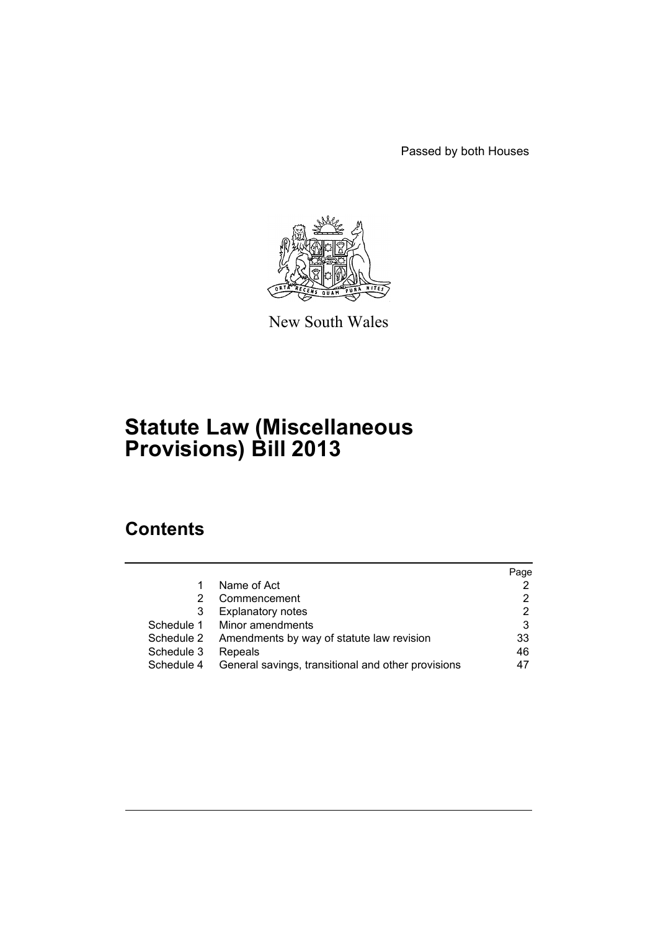Passed by both Houses



New South Wales

# **Statute Law (Miscellaneous Provisions) Bill 2013**

# **Contents**

|            |                                                    | Page |
|------------|----------------------------------------------------|------|
|            | Name of Act                                        |      |
| 2          | Commencement                                       |      |
| 3          | <b>Explanatory notes</b>                           | 2    |
| Schedule 1 | Minor amendments                                   | 3    |
| Schedule 2 | Amendments by way of statute law revision          | 33   |
| Schedule 3 | Repeals                                            | 46   |
| Schedule 4 | General savings, transitional and other provisions | 47   |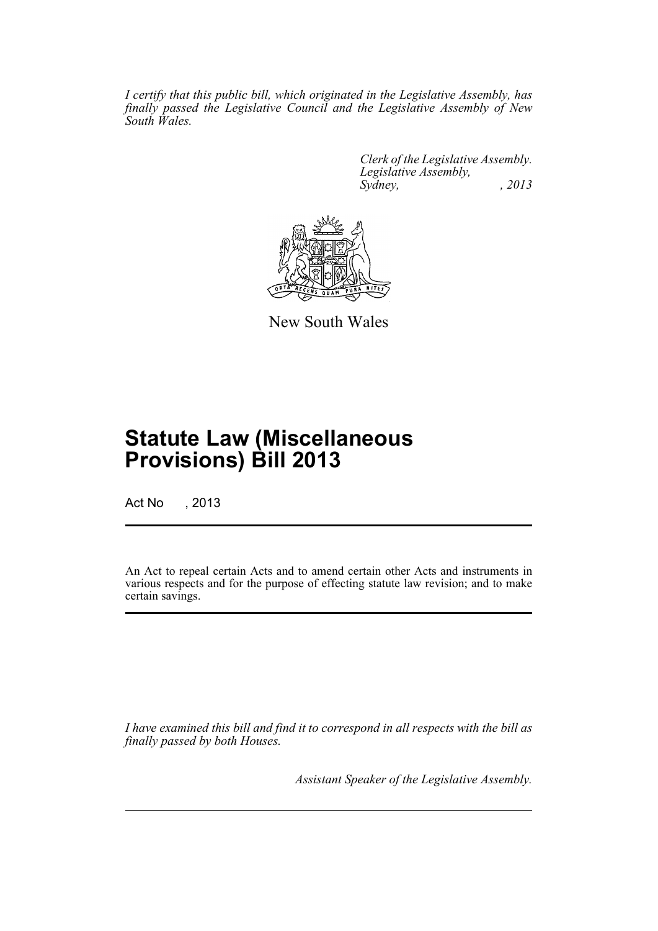*I certify that this public bill, which originated in the Legislative Assembly, has finally passed the Legislative Council and the Legislative Assembly of New South Wales.*

> *Clerk of the Legislative Assembly. Legislative Assembly, Sydney, , 2013*



New South Wales

# **Statute Law (Miscellaneous Provisions) Bill 2013**

Act No , 2013

An Act to repeal certain Acts and to amend certain other Acts and instruments in various respects and for the purpose of effecting statute law revision; and to make certain savings.

*I have examined this bill and find it to correspond in all respects with the bill as finally passed by both Houses.*

*Assistant Speaker of the Legislative Assembly.*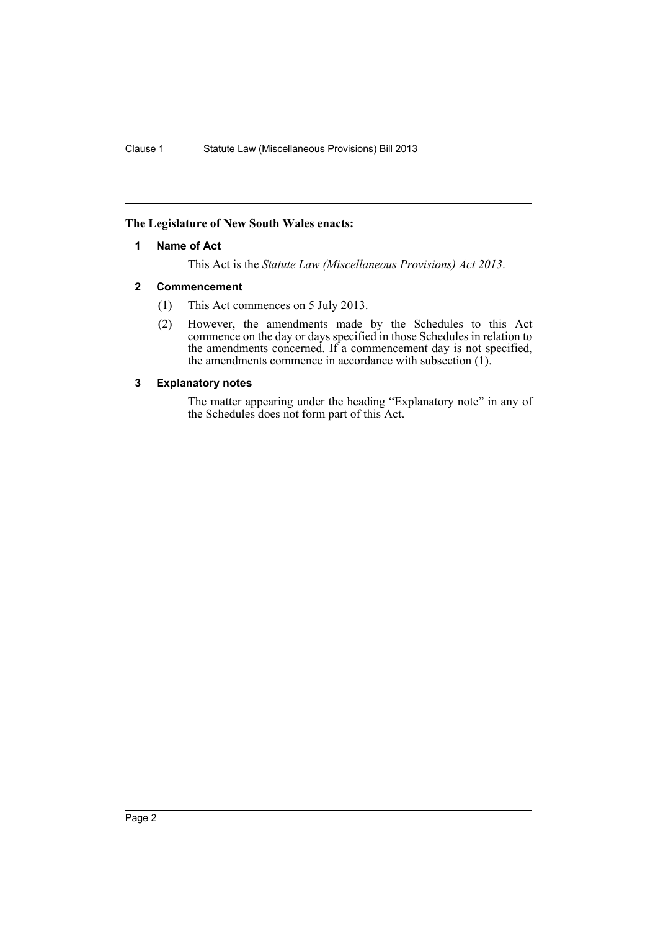### <span id="page-3-0"></span>**The Legislature of New South Wales enacts:**

### **1 Name of Act**

This Act is the *Statute Law (Miscellaneous Provisions) Act 2013*.

### <span id="page-3-1"></span>**2 Commencement**

- (1) This Act commences on 5 July 2013.
- (2) However, the amendments made by the Schedules to this Act commence on the day or days specified in those Schedules in relation to the amendments concerned. If a commencement day is not specified, the amendments commence in accordance with subsection (1).

### <span id="page-3-2"></span>**3 Explanatory notes**

The matter appearing under the heading "Explanatory note" in any of the Schedules does not form part of this Act.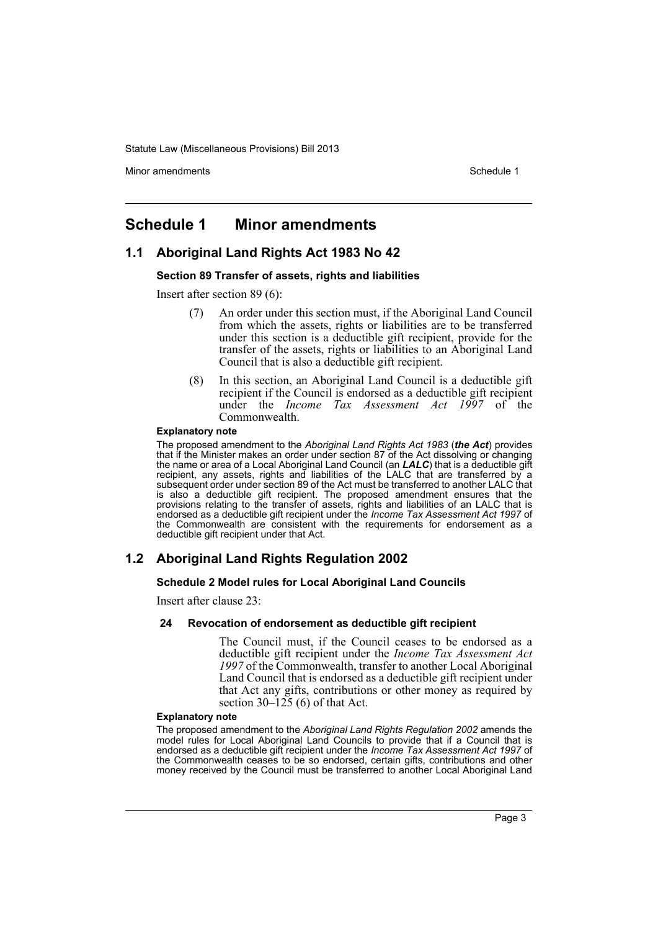Minor amendments **Schedule 1** and the state of the state 1 and the state of the Schedule 1

# <span id="page-4-0"></span>**Schedule 1 Minor amendments**

# **1.1 Aboriginal Land Rights Act 1983 No 42**

### **Section 89 Transfer of assets, rights and liabilities**

Insert after section 89 (6):

- (7) An order under this section must, if the Aboriginal Land Council from which the assets, rights or liabilities are to be transferred under this section is a deductible gift recipient, provide for the transfer of the assets, rights or liabilities to an Aboriginal Land Council that is also a deductible gift recipient.
- (8) In this section, an Aboriginal Land Council is a deductible gift recipient if the Council is endorsed as a deductible gift recipient under the *Income Tax Assessment Act 1997* of the Commonwealth.

#### **Explanatory note**

The proposed amendment to the *Aboriginal Land Rights Act 1983* (*the Act*) provides that if the Minister makes an order under section 87 of the Act dissolving or changing the name or area of a Local Aboriginal Land Council (an *LALC*) that is a deductible gift recipient, any assets, rights and liabilities of the LALC that are transferred by a subsequent order under section 89 of the Act must be transferred to another LALC that is also a deductible gift recipient. The proposed amendment ensures that the provisions relating to the transfer of assets, rights and liabilities of an LALC that is endorsed as a deductible gift recipient under the *Income Tax Assessment Act 1997* of the Commonwealth are consistent with the requirements for endorsement as a deductible gift recipient under that Act.

# **1.2 Aboriginal Land Rights Regulation 2002**

### **Schedule 2 Model rules for Local Aboriginal Land Councils**

Insert after clause 23:

### **24 Revocation of endorsement as deductible gift recipient**

The Council must, if the Council ceases to be endorsed as a deductible gift recipient under the *Income Tax Assessment Act 1997* of the Commonwealth, transfer to another Local Aboriginal Land Council that is endorsed as a deductible gift recipient under that Act any gifts, contributions or other money as required by section  $30-125$  (6) of that Act.

#### **Explanatory note**

The proposed amendment to the *Aboriginal Land Rights Regulation 2002* amends the model rules for Local Aboriginal Land Councils to provide that if a Council that is endorsed as a deductible gift recipient under the *Income Tax Assessment Act 1997* of the Commonwealth ceases to be so endorsed, certain gifts, contributions and other money received by the Council must be transferred to another Local Aboriginal Land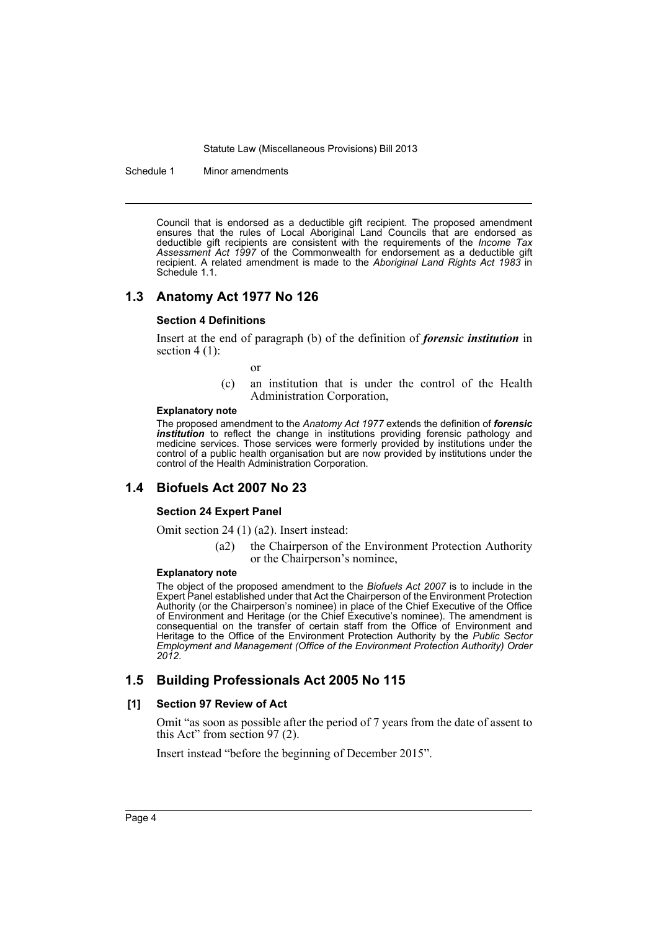Schedule 1 Minor amendments

Council that is endorsed as a deductible gift recipient. The proposed amendment ensures that the rules of Local Aboriginal Land Councils that are endorsed as deductible gift recipients are consistent with the requirements of the *Income Tax Assessment Act 1997* of the Commonwealth for endorsement as a deductible gift recipient. A related amendment is made to the *Aboriginal Land Rights Act 1983* in Schedule 1.1.

### **1.3 Anatomy Act 1977 No 126**

#### **Section 4 Definitions**

Insert at the end of paragraph (b) of the definition of *forensic institution* in section  $4(1)$ :

- or
- (c) an institution that is under the control of the Health Administration Corporation,

#### **Explanatory note**

The proposed amendment to the *Anatomy Act 1977* extends the definition of *forensic institution* to reflect the change in institutions providing forensic pathology and medicine services. Those services were formerly provided by institutions under the control of a public health organisation but are now provided by institutions under the control of the Health Administration Corporation.

### **1.4 Biofuels Act 2007 No 23**

### **Section 24 Expert Panel**

Omit section 24 (1) (a2). Insert instead:

(a2) the Chairperson of the Environment Protection Authority or the Chairperson's nominee,

#### **Explanatory note**

The object of the proposed amendment to the *Biofuels Act 2007* is to include in the Expert Panel established under that Act the Chairperson of the Environment Protection Authority (or the Chairperson's nominee) in place of the Chief Executive of the Office of Environment and Heritage (or the Chief Executive's nominee). The amendment is consequential on the transfer of certain staff from the Office of Environment and Heritage to the Office of the Environment Protection Authority by the *Public Sector Employment and Management (Office of the Environment Protection Authority) Order 2012*.

### **1.5 Building Professionals Act 2005 No 115**

### **[1] Section 97 Review of Act**

Omit "as soon as possible after the period of 7 years from the date of assent to this Act" from section 97 (2).

Insert instead "before the beginning of December 2015".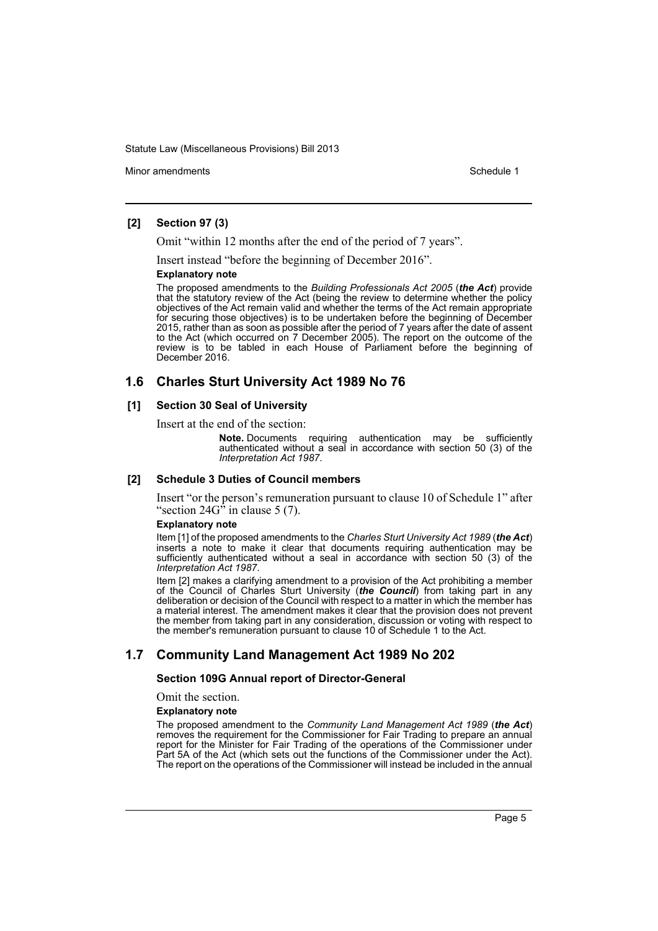Minor amendments **Schedule 1** and the state of the state 1 and the state of the Schedule 1

### **[2] Section 97 (3)**

Omit "within 12 months after the end of the period of 7 years".

Insert instead "before the beginning of December 2016".

#### **Explanatory note**

The proposed amendments to the *Building Professionals Act 2005* (*the Act*) provide that the statutory review of the Act (being the review to determine whether the policy objectives of the Act remain valid and whether the terms of the Act remain appropriate for securing those objectives) is to be undertaken before the beginning of December 2015, rather than as soon as possible after the period of 7 years after the date of assent to the Act (which occurred on 7 December 2005). The report on the outcome of the review is to be tabled in each House of Parliament before the beginning of December 2016.

# **1.6 Charles Sturt University Act 1989 No 76**

### **[1] Section 30 Seal of University**

Insert at the end of the section:

**Note.** Documents requiring authentication may be sufficiently authenticated without a seal in accordance with section 50 (3) of the *Interpretation Act 1987*.

### **[2] Schedule 3 Duties of Council members**

Insert "or the person's remuneration pursuant to clause 10 of Schedule 1" after "section  $24G^{\hat{}}$  in clause 5 (7).

### **Explanatory note**

Item [1] of the proposed amendments to the *Charles Sturt University Act 1989* (*the Act*) inserts a note to make it clear that documents requiring authentication may be sufficiently authenticated without a seal in accordance with section 50 (3) of the *Interpretation Act 1987*.

Item [2] makes a clarifying amendment to a provision of the Act prohibiting a member of the Council of Charles Sturt University (*the Council*) from taking part in any deliberation or decision of the Council with respect to a matter in which the member has a material interest. The amendment makes it clear that the provision does not prevent the member from taking part in any consideration, discussion or voting with respect to the member's remuneration pursuant to clause 10 of Schedule 1 to the Act.

# **1.7 Community Land Management Act 1989 No 202**

### **Section 109G Annual report of Director-General**

### Omit the section.

#### **Explanatory note**

The proposed amendment to the *Community Land Management Act 1989* (*the Act*) removes the requirement for the Commissioner for Fair Trading to prepare an annual report for the Minister for Fair Trading of the operations of the Commissioner under Part 5A of the Act (which sets out the functions of the Commissioner under the Act). The report on the operations of the Commissioner will instead be included in the annual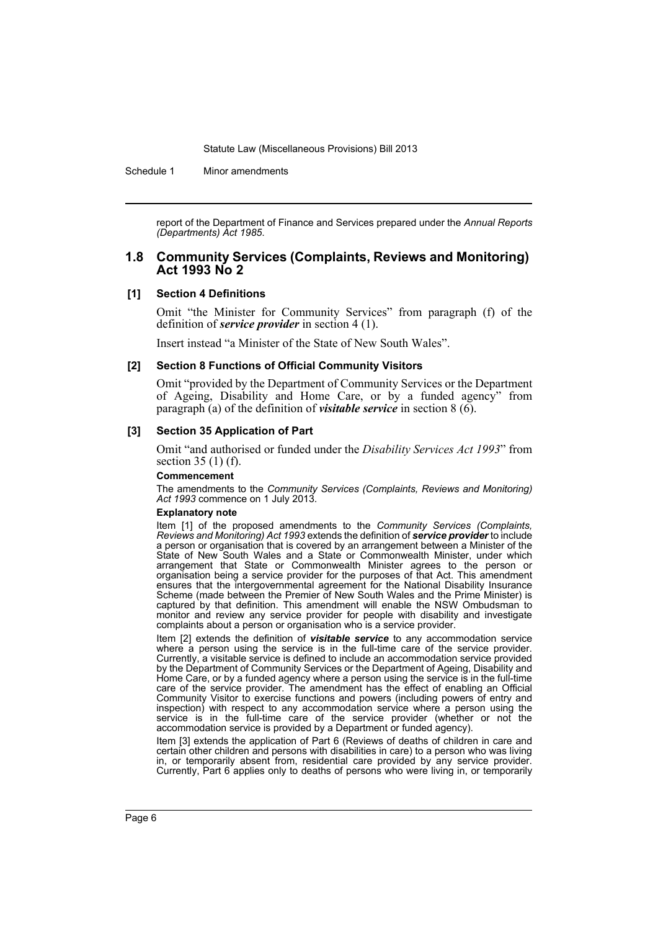Schedule 1 Minor amendments

report of the Department of Finance and Services prepared under the *Annual Reports (Departments) Act 1985*.

### **1.8 Community Services (Complaints, Reviews and Monitoring) Act 1993 No 2**

### **[1] Section 4 Definitions**

Omit "the Minister for Community Services" from paragraph (f) of the definition of *service provider* in section 4 (1).

Insert instead "a Minister of the State of New South Wales".

#### **[2] Section 8 Functions of Official Community Visitors**

Omit "provided by the Department of Community Services or the Department of Ageing, Disability and Home Care, or by a funded agency" from paragraph (a) of the definition of *visitable service* in section 8 (6).

#### **[3] Section 35 Application of Part**

Omit "and authorised or funded under the *Disability Services Act 1993*" from section 35 (1) (f).

#### **Commencement**

The amendments to the *Community Services (Complaints, Reviews and Monitoring) Act 1993* commence on 1 July 2013.

#### **Explanatory note**

Item [1] of the proposed amendments to the *Community Services (Complaints, Reviews and Monitoring) Act 1993* extends the definition of *service provider* to include a person or organisation that is covered by an arrangement between a Minister of the State of New South Wales and a State or Commonwealth Minister, under which arrangement that State or Commonwealth Minister agrees to the person or organisation being a service provider for the purposes of that Act. This amendment ensures that the intergovernmental agreement for the National Disability Insurance Scheme (made between the Premier of New South Wales and the Prime Minister) is captured by that definition. This amendment will enable the NSW Ombudsman to monitor and review any service provider for people with disability and investigate complaints about a person or organisation who is a service provider.

Item [2] extends the definition of *visitable service* to any accommodation service where a person using the service is in the full-time care of the service provider. Currently, a visitable service is defined to include an accommodation service provided by the Department of Community Services or the Department of Ageing, Disability and Home Care, or by a funded agency where a person using the service is in the full-time care of the service provider. The amendment has the effect of enabling an Official Community Visitor to exercise functions and powers (including powers of entry and inspection) with respect to any accommodation service where a person using the service is in the full-time care of the service provider (whether or not the accommodation service is provided by a Department or funded agency).

Item [3] extends the application of Part 6 (Reviews of deaths of children in care and certain other children and persons with disabilities in care) to a person who was living in, or temporarily absent from, residential care provided by any service provider. Currently, Part 6 applies only to deaths of persons who were living in, or temporarily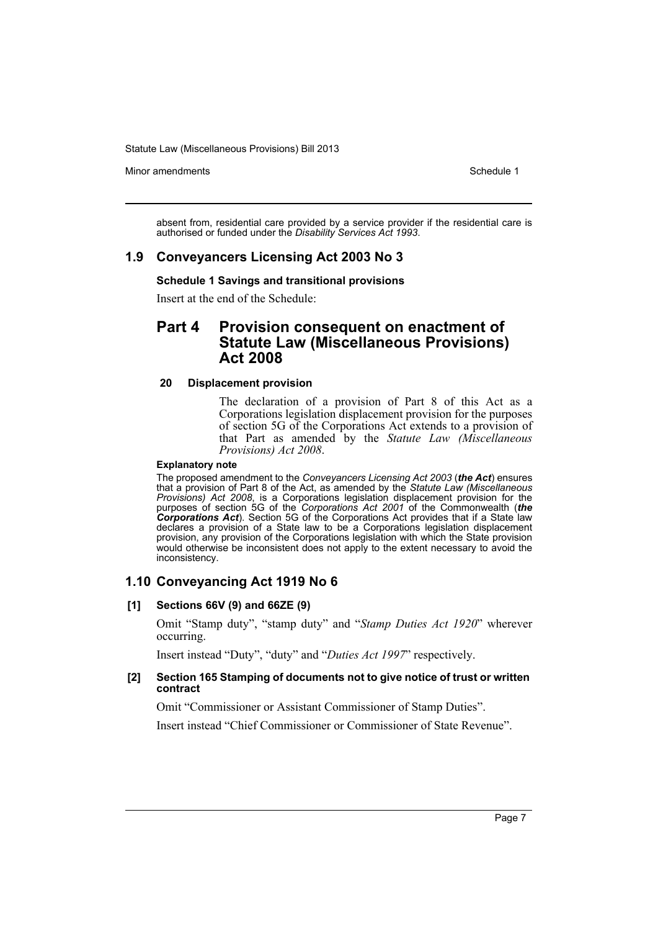Minor amendments **Schedule 1** and the state of the state 1 and the state of the Schedule 1

absent from, residential care provided by a service provider if the residential care is authorised or funded under the *Disability Services Act 1993*.

### **1.9 Conveyancers Licensing Act 2003 No 3**

### **Schedule 1 Savings and transitional provisions**

Insert at the end of the Schedule:

# **Part 4 Provision consequent on enactment of Statute Law (Miscellaneous Provisions) Act 2008**

### **20 Displacement provision**

The declaration of a provision of Part 8 of this Act as a Corporations legislation displacement provision for the purposes of section 5G of the Corporations Act extends to a provision of that Part as amended by the *Statute Law (Miscellaneous Provisions) Act 2008*.

#### **Explanatory note**

The proposed amendment to the *Conveyancers Licensing Act 2003* (*the Act*) ensures that a provision of Part 8 of the Act, as amended by the *Statute Law (Miscellaneous Provisions) Act 2008*, is a Corporations legislation displacement provision for the purposes of section 5G of the *Corporations Act 2001* of the Commonwealth (*the Corporations Act*). Section 5G of the Corporations Act provides that if a State law declares a provision of a State law to be a Corporations legislation displacement provision, any provision of the Corporations legislation with which the State provision would otherwise be inconsistent does not apply to the extent necessary to avoid the inconsistency.

# **1.10 Conveyancing Act 1919 No 6**

### **[1] Sections 66V (9) and 66ZE (9)**

Omit "Stamp duty", "stamp duty" and "*Stamp Duties Act 1920*" wherever occurring.

Insert instead "Duty", "duty" and "*Duties Act 1997*" respectively.

### **[2] Section 165 Stamping of documents not to give notice of trust or written contract**

Omit "Commissioner or Assistant Commissioner of Stamp Duties".

Insert instead "Chief Commissioner or Commissioner of State Revenue".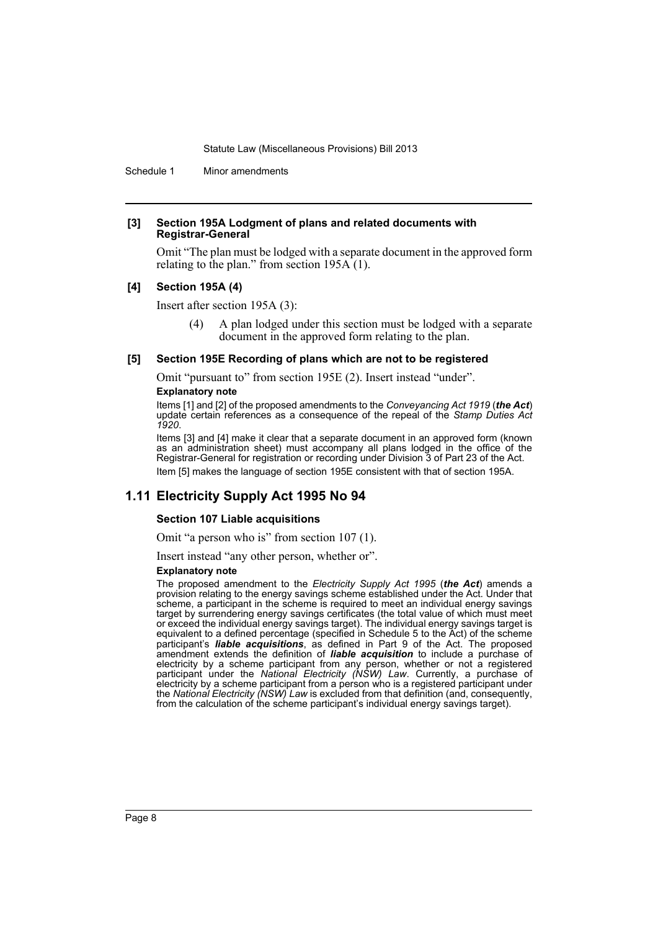Schedule 1 Minor amendments

#### **[3] Section 195A Lodgment of plans and related documents with Registrar-General**

Omit "The plan must be lodged with a separate document in the approved form relating to the plan." from section  $195\text{\AA}$  (1).

### **[4] Section 195A (4)**

Insert after section 195A (3):

(4) A plan lodged under this section must be lodged with a separate document in the approved form relating to the plan.

### **[5] Section 195E Recording of plans which are not to be registered**

Omit "pursuant to" from section 195E (2). Insert instead "under".

#### **Explanatory note**

Items [1] and [2] of the proposed amendments to the *Conveyancing Act 1919* (*the Act*) update certain references as a consequence of the repeal of the *Stamp Duties Act 1920*.

Items [3] and [4] make it clear that a separate document in an approved form (known as an administration sheet) must accompany all plans lodged in the office of the Registrar-General for registration or recording under Division 3 of Part 23 of the Act. Item [5] makes the language of section 195E consistent with that of section 195A.

# **1.11 Electricity Supply Act 1995 No 94**

### **Section 107 Liable acquisitions**

Omit "a person who is" from section 107 (1).

Insert instead "any other person, whether or".

#### **Explanatory note**

The proposed amendment to the *Electricity Supply Act 1995* (*the Act*) amends a provision relating to the energy savings scheme established under the Act. Under that scheme, a participant in the scheme is required to meet an individual energy savings target by surrendering energy savings certificates (the total value of which must meet or exceed the individual energy savings target). The individual energy savings target is equivalent to a defined percentage (specified in Schedule 5 to the Act) of the scheme participant's *liable acquisitions*, as defined in Part 9 of the Act. The proposed amendment extends the definition of *liable acquisition* to include a purchase of electricity by a scheme participant from any person, whether or not a registered participant under the *National Electricity (NSW) Law*. Currently, a purchase of electricity by a scheme participant from a person who is a registered participant under the *National Electricity (NSW) Law* is excluded from that definition (and, consequently, from the calculation of the scheme participant's individual energy savings target).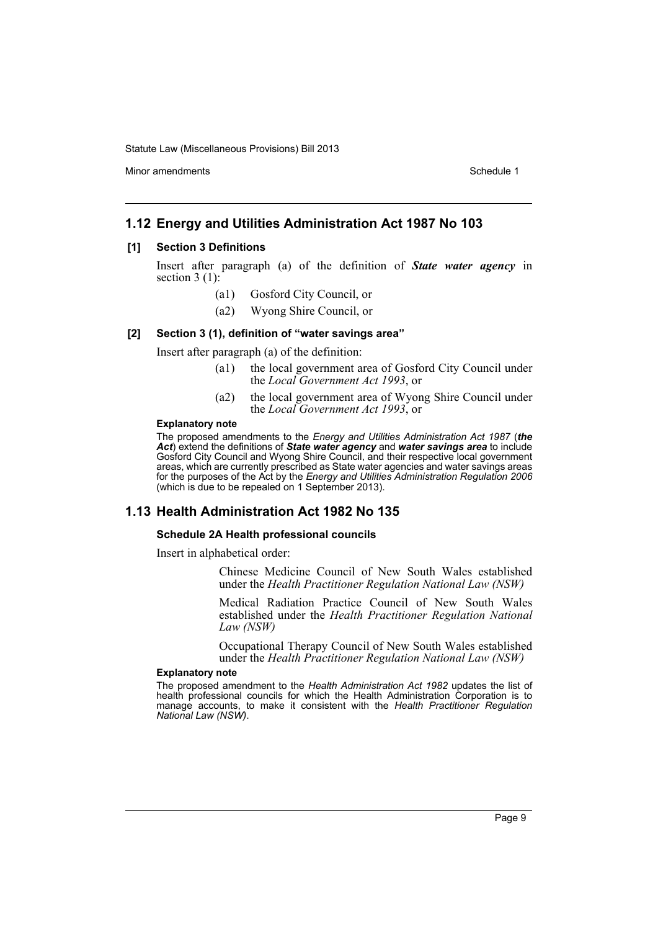Minor amendments **Schedule 1** and the state of the state 1 and the state of the Schedule 1

## **1.12 Energy and Utilities Administration Act 1987 No 103**

### **[1] Section 3 Definitions**

Insert after paragraph (a) of the definition of *State water agency* in section  $3(1)$ :

- (a1) Gosford City Council, or
- (a2) Wyong Shire Council, or

### **[2] Section 3 (1), definition of "water savings area"**

Insert after paragraph (a) of the definition:

- (a1) the local government area of Gosford City Council under the *Local Government Act 1993*, or
- (a2) the local government area of Wyong Shire Council under the *Local Government Act 1993*, or

#### **Explanatory note**

The proposed amendments to the *Energy and Utilities Administration Act 1987* (*the Act*) extend the definitions of *State water agency* and *water savings area* to include Gosford City Council and Wyong Shire Council, and their respective local government areas, which are currently prescribed as State water agencies and water savings areas for the purposes of the Act by the *Energy and Utilities Administration Regulation 2006* (which is due to be repealed on 1 September 2013).

### **1.13 Health Administration Act 1982 No 135**

#### **Schedule 2A Health professional councils**

Insert in alphabetical order:

Chinese Medicine Council of New South Wales established under the *Health Practitioner Regulation National Law (NSW)*

Medical Radiation Practice Council of New South Wales established under the *Health Practitioner Regulation National Law (NSW)*

Occupational Therapy Council of New South Wales established under the *Health Practitioner Regulation National Law (NSW)*

#### **Explanatory note**

The proposed amendment to the *Health Administration Act 1982* updates the list of health professional councils for which the Health Administration Corporation is to manage accounts, to make it consistent with the *Health Practitioner Regulation National Law (NSW)*.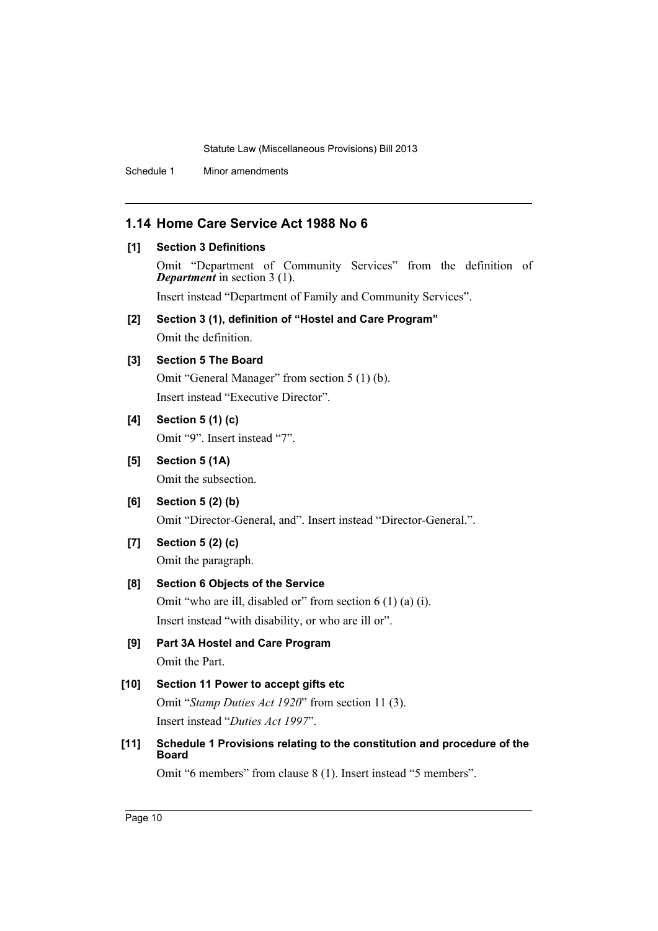Schedule 1 Minor amendments

# **1.14 Home Care Service Act 1988 No 6**

- **[1] Section 3 Definitions** Omit "Department of Community Services" from the definition of *Department* in section 3 (1). Insert instead "Department of Family and Community Services". **[2] Section 3 (1), definition of "Hostel and Care Program"** Omit the definition. **[3] Section 5 The Board** Omit "General Manager" from section 5 (1) (b). Insert instead "Executive Director". **[4] Section 5 (1) (c)** Omit "9". Insert instead "7". **[5] Section 5 (1A)** Omit the subsection. **[6] Section 5 (2) (b)** Omit "Director-General, and". Insert instead "Director-General.". **[7] Section 5 (2) (c)** Omit the paragraph. **[8] Section 6 Objects of the Service** Omit "who are ill, disabled or" from section 6 (1) (a) (i).
- Insert instead "with disability, or who are ill or". **[9] Part 3A Hostel and Care Program** Omit the Part. **[10] Section 11 Power to accept gifts etc** Omit "*Stamp Duties Act 1920*" from section 11 (3). Insert instead "*Duties Act 1997*". **[11] Schedule 1 Provisions relating to the constitution and procedure of the Board**

Omit "6 members" from clause 8 (1). Insert instead "5 members".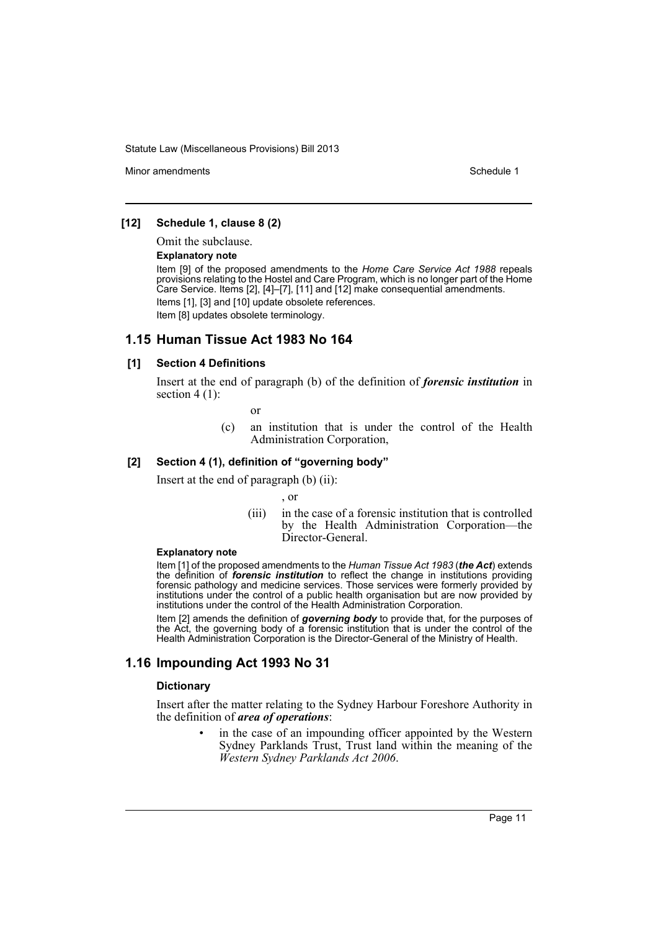Minor amendments **Schedule 1** and the state of the state 1 and the state of the Schedule 1

### **[12] Schedule 1, clause 8 (2)**

Omit the subclause.

#### **Explanatory note**

Item [9] of the proposed amendments to the *Home Care Service Act 1988* repeals provisions relating to the Hostel and Care Program, which is no longer part of the Home Care Service. Items [2], [4]–[7], [11] and [12] make consequential amendments. Items [1], [3] and [10] update obsolete references. Item [8] updates obsolete terminology.

### **1.15 Human Tissue Act 1983 No 164**

#### **[1] Section 4 Definitions**

Insert at the end of paragraph (b) of the definition of *forensic institution* in section  $4(1)$ :

or

(c) an institution that is under the control of the Health Administration Corporation,

### **[2] Section 4 (1), definition of "governing body"**

Insert at the end of paragraph (b) (ii):

, or

(iii) in the case of a forensic institution that is controlled by the Health Administration Corporation—the Director-General.

#### **Explanatory note**

Item [1] of the proposed amendments to the *Human Tissue Act 1983* (*the Act*) extends the definition of *forensic institution* to reflect the change in institutions providing forensic pathology and medicine services. Those services were formerly provided by institutions under the control of a public health organisation but are now provided by institutions under the control of the Health Administration Corporation.

Item [2] amends the definition of *governing body* to provide that, for the purposes of the Act, the governing body of a forensic institution that is under the control of the Health Administration Corporation is the Director-General of the Ministry of Health.

# **1.16 Impounding Act 1993 No 31**

#### **Dictionary**

Insert after the matter relating to the Sydney Harbour Foreshore Authority in the definition of *area of operations*:

> in the case of an impounding officer appointed by the Western Sydney Parklands Trust, Trust land within the meaning of the *Western Sydney Parklands Act 2006*.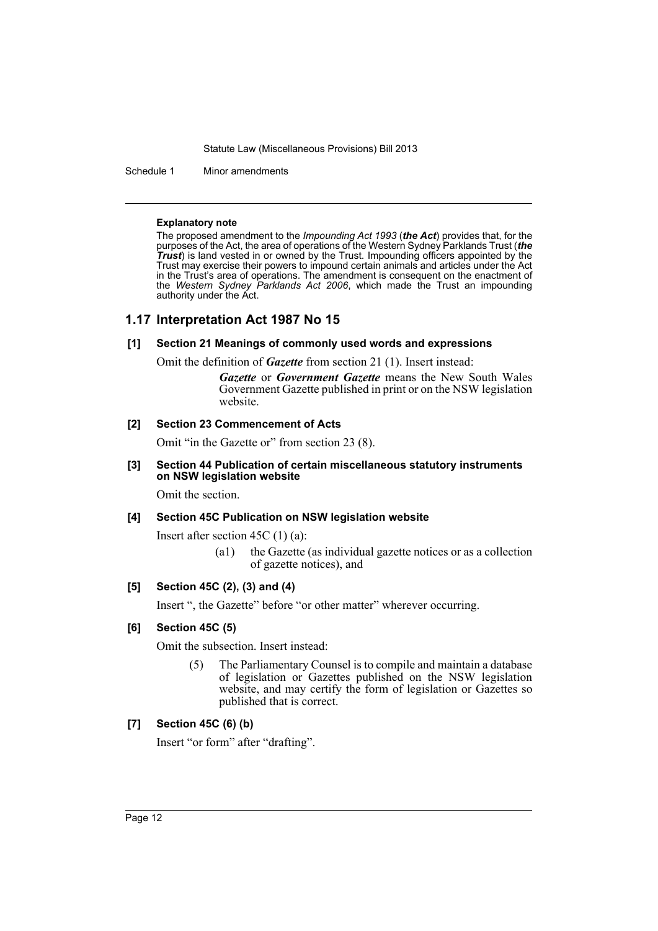Schedule 1 Minor amendments

#### **Explanatory note**

The proposed amendment to the *Impounding Act 1993* (*the Act*) provides that, for the purposes of the Act, the area of operations of the Western Sydney Parklands Trust (*the Trust*) is land vested in or owned by the Trust. Impounding officers appointed by the Trust may exercise their powers to impound certain animals and articles under the Act in the Trust's area of operations. The amendment is consequent on the enactment of the *Western Sydney Parklands Act 2006*, which made the Trust an impounding authority under the Act.

### **1.17 Interpretation Act 1987 No 15**

### **[1] Section 21 Meanings of commonly used words and expressions**

Omit the definition of *Gazette* from section 21 (1). Insert instead:

*Gazette* or *Government Gazette* means the New South Wales Government Gazette published in print or on the NSW legislation website.

#### **[2] Section 23 Commencement of Acts**

Omit "in the Gazette or" from section 23 (8).

### **[3] Section 44 Publication of certain miscellaneous statutory instruments on NSW legislation website**

Omit the section.

# **[4] Section 45C Publication on NSW legislation website**

Insert after section 45C (1) (a):

(a1) the Gazette (as individual gazette notices or as a collection of gazette notices), and

### **[5] Section 45C (2), (3) and (4)**

Insert ", the Gazette" before "or other matter" wherever occurring.

### **[6] Section 45C (5)**

Omit the subsection. Insert instead:

(5) The Parliamentary Counsel is to compile and maintain a database of legislation or Gazettes published on the NSW legislation website, and may certify the form of legislation or Gazettes so published that is correct.

### **[7] Section 45C (6) (b)**

Insert "or form" after "drafting".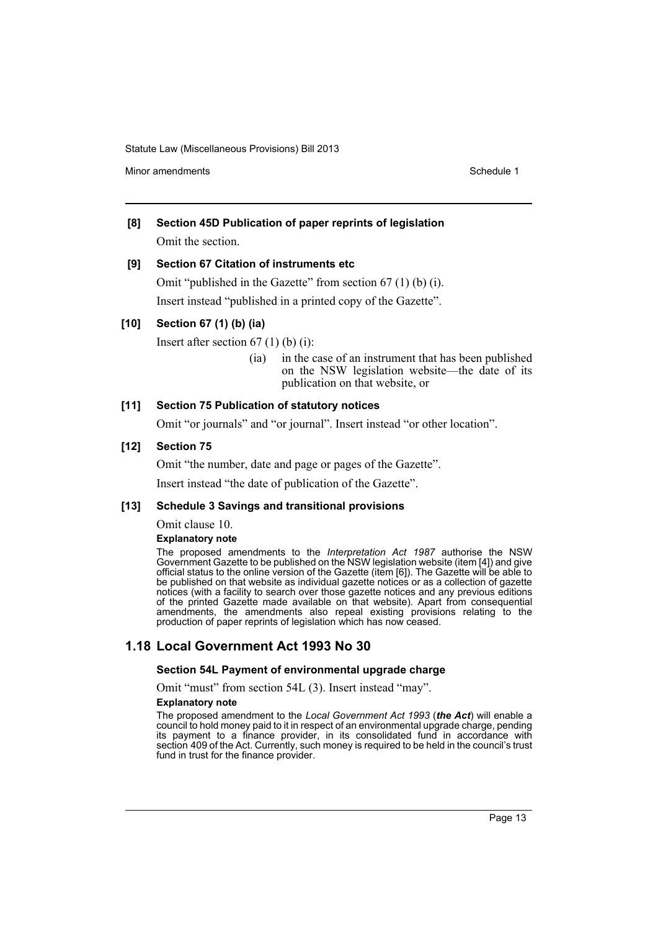Minor amendments **Schedule 1** and the state of the state 1 and the state of the Schedule 1

# **[8] Section 45D Publication of paper reprints of legislation** Omit the section.

### **[9] Section 67 Citation of instruments etc**

Omit "published in the Gazette" from section 67 (1) (b) (i). Insert instead "published in a printed copy of the Gazette".

### **[10] Section 67 (1) (b) (ia)**

Insert after section  $67$  (1) (b) (i):

(ia) in the case of an instrument that has been published on the NSW legislation website—the date of its publication on that website, or

### **[11] Section 75 Publication of statutory notices**

Omit "or journals" and "or journal". Insert instead "or other location".

### **[12] Section 75**

Omit "the number, date and page or pages of the Gazette".

Insert instead "the date of publication of the Gazette".

### **[13] Schedule 3 Savings and transitional provisions**

Omit clause 10.

### **Explanatory note**

The proposed amendments to the *Interpretation Act 1987* authorise the NSW Government Gazette to be published on the NSW legislation website (item [4]) and give official status to the online version of the Gazette (item [6]). The Gazette will be able to be published on that website as individual gazette notices or as a collection of gazette notices (with a facility to search over those gazette notices and any previous editions of the printed Gazette made available on that website). Apart from consequential amendments, the amendments also repeal existing provisions relating to the production of paper reprints of legislation which has now ceased.

# **1.18 Local Government Act 1993 No 30**

### **Section 54L Payment of environmental upgrade charge**

Omit "must" from section 54L (3). Insert instead "may".

#### **Explanatory note**

The proposed amendment to the *Local Government Act 1993* (*the Act*) will enable a council to hold money paid to it in respect of an environmental upgrade charge, pending its payment to a finance provider, in its consolidated fund in accordance with section 409 of the Act. Currently, such money is required to be held in the council's trust fund in trust for the finance provider.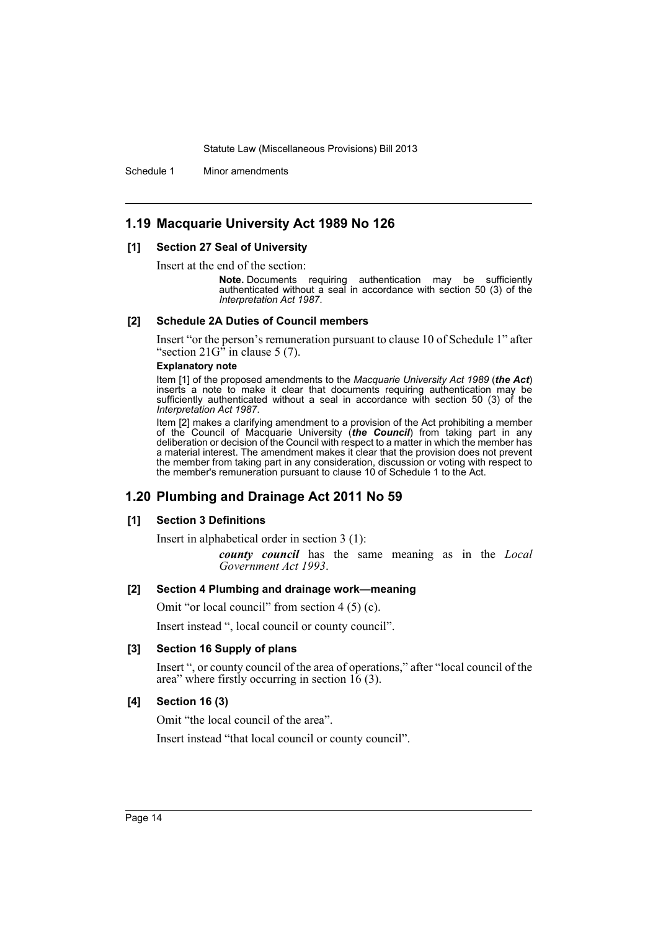Schedule 1 Minor amendments

## **1.19 Macquarie University Act 1989 No 126**

#### **[1] Section 27 Seal of University**

Insert at the end of the section:<br>**Note.** Documents requiring authentication may be sufficiently authenticated without a seal in accordance with section 50 (3) of the *Interpretation Act 1987*.

#### **[2] Schedule 2A Duties of Council members**

Insert "or the person's remuneration pursuant to clause 10 of Schedule 1" after "section  $21G<sup>2</sup>$  in clause 5 (7).

#### **Explanatory note**

Item [1] of the proposed amendments to the *Macquarie University Act 1989* (*the Act*) inserts a note to make it clear that documents requiring authentication may be sufficiently authenticated without a seal in accordance with section 50 (3) of the *Interpretation Act 1987*.

Item [2] makes a clarifying amendment to a provision of the Act prohibiting a member of the Council of Macquarie University (*the Council*) from taking part in any deliberation or decision of the Council with respect to a matter in which the member has a material interest. The amendment makes it clear that the provision does not prevent the member from taking part in any consideration, discussion or voting with respect to the member's remuneration pursuant to clause 10 of Schedule 1 to the Act.

# **1.20 Plumbing and Drainage Act 2011 No 59**

### **[1] Section 3 Definitions**

Insert in alphabetical order in section 3 (1):

*county council* has the same meaning as in the *Local Government Act 1993*.

### **[2] Section 4 Plumbing and drainage work—meaning**

Omit "or local council" from section 4 (5) (c).

Insert instead ", local council or county council".

### **[3] Section 16 Supply of plans**

Insert ", or county council of the area of operations," after "local council of the area" where firstly occurring in section 16 (3).

### **[4] Section 16 (3)**

Omit "the local council of the area".

Insert instead "that local council or county council".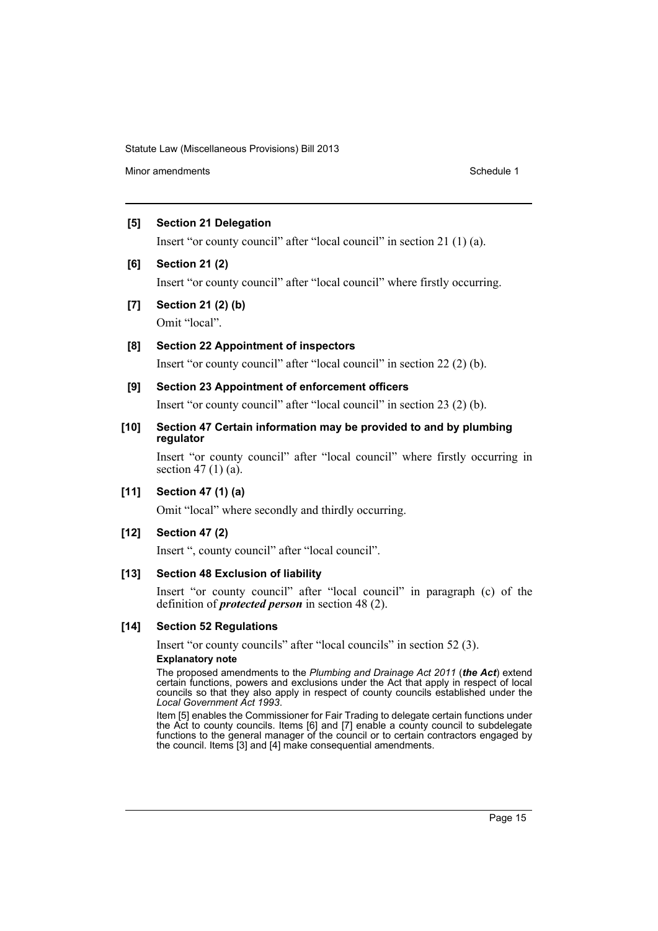Minor amendments **Schedule 1** and the state of the state 1 and the state of the Schedule 1

### **[5] Section 21 Delegation**

Insert "or county council" after "local council" in section 21 (1) (a).

### **[6] Section 21 (2)**

Insert "or county council" after "local council" where firstly occurring.

**[7] Section 21 (2) (b)**

Omit "local".

# **[8] Section 22 Appointment of inspectors**

Insert "or county council" after "local council" in section 22 (2) (b).

### **[9] Section 23 Appointment of enforcement officers**

Insert "or county council" after "local council" in section 23 (2) (b).

### **[10] Section 47 Certain information may be provided to and by plumbing regulator**

Insert "or county council" after "local council" where firstly occurring in section 47 $(1)$  $(a)$ .

### **[11] Section 47 (1) (a)**

Omit "local" where secondly and thirdly occurring.

### **[12] Section 47 (2)**

Insert ", county council" after "local council".

### **[13] Section 48 Exclusion of liability**

Insert "or county council" after "local council" in paragraph (c) of the definition of *protected person* in section 48 (2).

### **[14] Section 52 Regulations**

Insert "or county councils" after "local councils" in section 52 (3).

#### **Explanatory note**

The proposed amendments to the *Plumbing and Drainage Act 2011* (*the Act*) extend certain functions, powers and exclusions under the Act that apply in respect of local councils so that they also apply in respect of county councils established under the *Local Government Act 1993*.

Item [5] enables the Commissioner for Fair Trading to delegate certain functions under the Act to county councils. Items [6] and [7] enable a county council to subdelegate functions to the general manager of the council or to certain contractors engaged by the council. Items [3] and [4] make consequential amendments.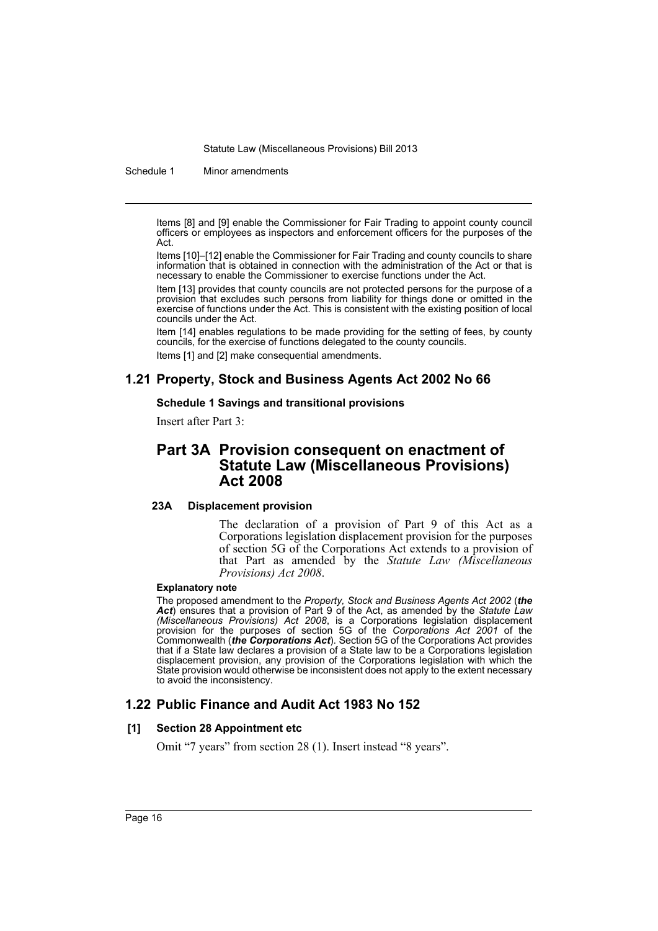Schedule 1 Minor amendments

Items [8] and [9] enable the Commissioner for Fair Trading to appoint county council officers or employees as inspectors and enforcement officers for the purposes of the Act.

Items [10]–[12] enable the Commissioner for Fair Trading and county councils to share information that is obtained in connection with the administration of the Act or that is necessary to enable the Commissioner to exercise functions under the Act.

Item [13] provides that county councils are not protected persons for the purpose of a provision that excludes such persons from liability for things done or omitted in the exercise of functions under the Act. This is consistent with the existing position of local councils under the Act.

Item [14] enables regulations to be made providing for the setting of fees, by county councils, for the exercise of functions delegated to the county councils. Items [1] and [2] make consequential amendments.

# **1.21 Property, Stock and Business Agents Act 2002 No 66**

### **Schedule 1 Savings and transitional provisions**

Insert after Part 3:

# **Part 3A Provision consequent on enactment of Statute Law (Miscellaneous Provisions) Act 2008**

### **23A Displacement provision**

The declaration of a provision of Part 9 of this Act as a Corporations legislation displacement provision for the purposes of section 5G of the Corporations Act extends to a provision of that Part as amended by the *Statute Law (Miscellaneous Provisions) Act 2008*.

### **Explanatory note**

The proposed amendment to the *Property, Stock and Business Agents Act 2002* (*the Act*) ensures that a provision of Part 9 of the Act, as amended by the *Statute Law (Miscellaneous Provisions) Act 2008*, is a Corporations legislation displacement provision for the purposes of section 5G of the *Corporations Act 2001* of the Commonwealth (*the Corporations Act*). Section 5G of the Corporations Act provides that if a State law declares a provision of a State law to be a Corporations legislation displacement provision, any provision of the Corporations legislation with which the State provision would otherwise be inconsistent does not apply to the extent necessary to avoid the inconsistency.

# **1.22 Public Finance and Audit Act 1983 No 152**

### **[1] Section 28 Appointment etc**

Omit "7 years" from section 28 (1). Insert instead "8 years".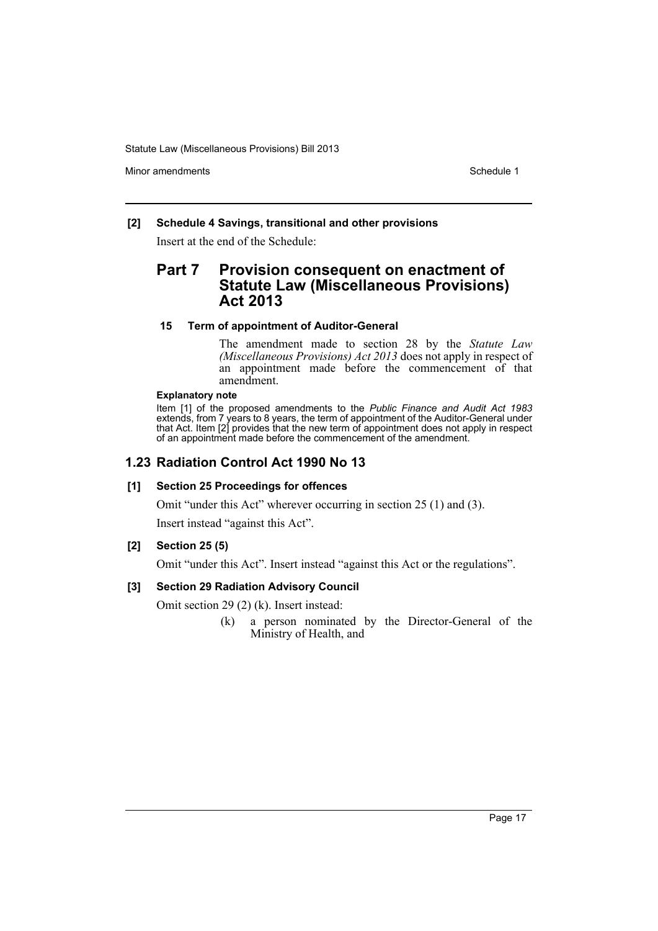Minor amendments **Schedule 1** and the state of the state of the Schedule 1

### **[2] Schedule 4 Savings, transitional and other provisions**

Insert at the end of the Schedule:

# **Part 7 Provision consequent on enactment of Statute Law (Miscellaneous Provisions) Act 2013**

### **15 Term of appointment of Auditor-General**

The amendment made to section 28 by the *Statute Law (Miscellaneous Provisions) Act 2013* does not apply in respect of an appointment made before the commencement of that amendment.

### **Explanatory note**

Item [1] of the proposed amendments to the *Public Finance and Audit Act 1983* extends, from 7 years to 8 years, the term of appointment of the Auditor-General under that Act. Item [2] provides that the new term of appointment does not apply in respect of an appointment made before the commencement of the amendment.

### **1.23 Radiation Control Act 1990 No 13**

### **[1] Section 25 Proceedings for offences**

Omit "under this Act" wherever occurring in section 25 (1) and (3).

Insert instead "against this Act".

### **[2] Section 25 (5)**

Omit "under this Act". Insert instead "against this Act or the regulations".

### **[3] Section 29 Radiation Advisory Council**

Omit section 29 (2) (k). Insert instead:

(k) a person nominated by the Director-General of the Ministry of Health, and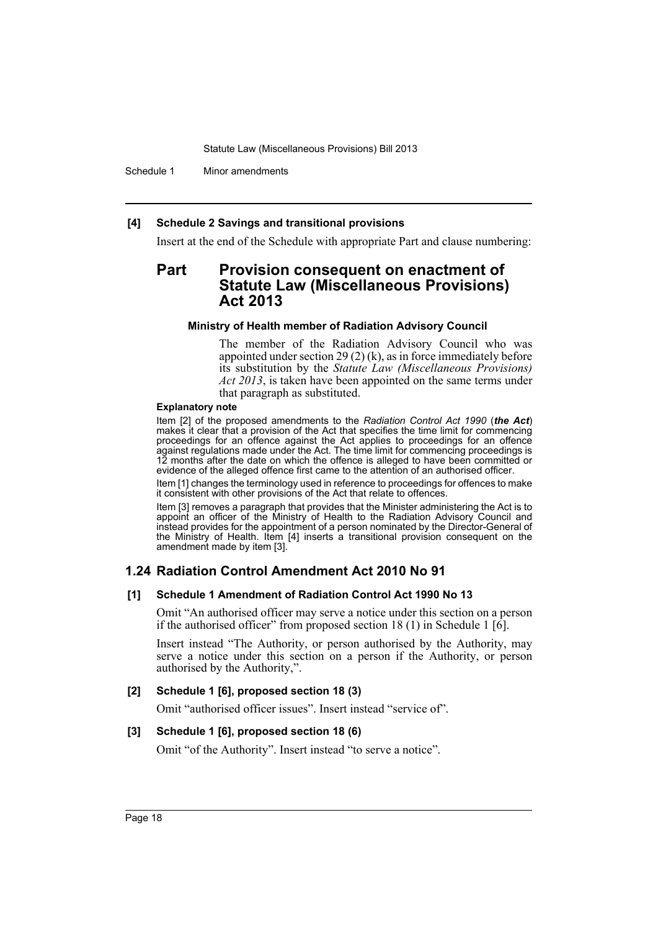Schedule 1 Minor amendments

### **[4] Schedule 2 Savings and transitional provisions**

Insert at the end of the Schedule with appropriate Part and clause numbering:

# **Part Provision consequent on enactment of Statute Law (Miscellaneous Provisions) Act 2013**

#### **Ministry of Health member of Radiation Advisory Council**

The member of the Radiation Advisory Council who was appointed under section 29 (2) (k), as in force immediately before its substitution by the *Statute Law (Miscellaneous Provisions) Act 2013*, is taken have been appointed on the same terms under that paragraph as substituted.

#### **Explanatory note**

Item [2] of the proposed amendments to the *Radiation Control Act 1990* (*the Act*) makes it clear that a provision of the Act that specifies the time limit for commencing proceedings for an offence against the Act applies to proceedings for an offence against regulations made under the Act. The time limit for commencing proceedings is 12 months after the date on which the offence is alleged to have been committed or evidence of the alleged offence first came to the attention of an authorised officer.

Item [1] changes the terminology used in reference to proceedings for offences to make it consistent with other provisions of the Act that relate to offences.

Item [3] removes a paragraph that provides that the Minister administering the Act is to appoint an officer of the Ministry of Health to the Radiation Advisory Council and instead provides for the appointment of a person nominated by the Director-General of the Ministry of Health. Item [4] inserts a transitional provision consequent on the amendment made by item [3].

# **1.24 Radiation Control Amendment Act 2010 No 91**

### **[1] Schedule 1 Amendment of Radiation Control Act 1990 No 13**

Omit "An authorised officer may serve a notice under this section on a person if the authorised officer" from proposed section 18 (1) in Schedule 1 [6].

Insert instead "The Authority, or person authorised by the Authority, may serve a notice under this section on a person if the Authority, or person authorised by the Authority,".

### **[2] Schedule 1 [6], proposed section 18 (3)**

Omit "authorised officer issues". Insert instead "service of".

### **[3] Schedule 1 [6], proposed section 18 (6)**

Omit "of the Authority". Insert instead "to serve a notice".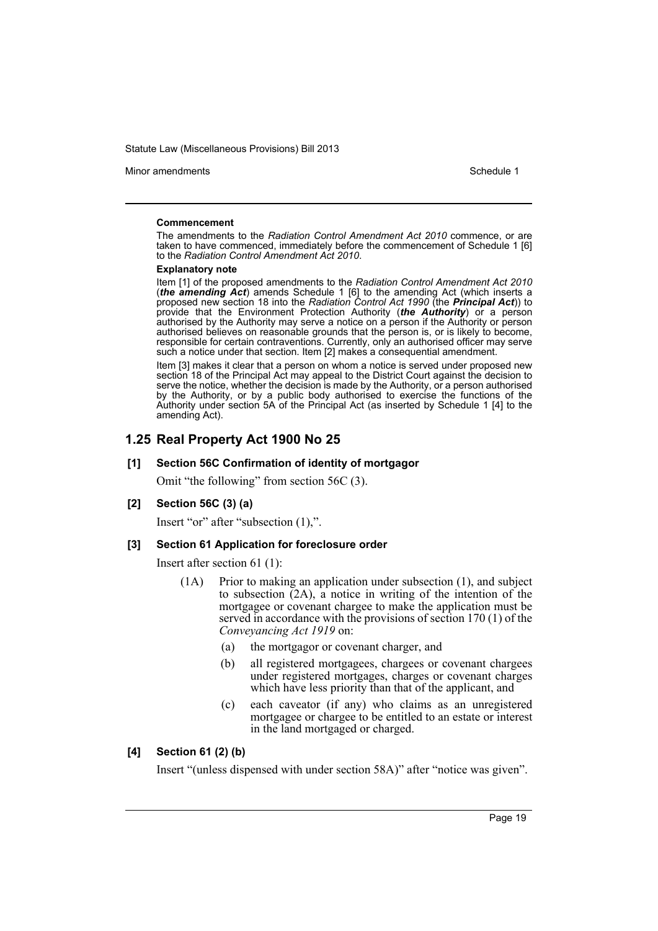Minor amendments **Schedule 1** and the state of the state 1 and the state of the Schedule 1

#### **Commencement**

The amendments to the *Radiation Control Amendment Act 2010* commence, or are taken to have commenced, immediately before the commencement of Schedule 1 [6] to the *Radiation Control Amendment Act 2010*.

#### **Explanatory note**

Item [1] of the proposed amendments to the *Radiation Control Amendment Act 2010* (*the amending Act*) amends Schedule 1 [6] to the amending Act (which inserts a proposed new section 18 into the *Radiation Control Act 1990* (the *Principal Act*)) to provide that the Environment Protection Authority (*the Authority*) or a person authorised by the Authority may serve a notice on a person if the Authority or person authorised believes on reasonable grounds that the person is, or is likely to become, responsible for certain contraventions. Currently, only an authorised officer may serve such a notice under that section. Item [2] makes a consequential amendment.

Item [3] makes it clear that a person on whom a notice is served under proposed new section 18 of the Principal Act may appeal to the District Court against the decision to serve the notice, whether the decision is made by the Authority, or a person authorised by the Authority, or by a public body authorised to exercise the functions of the Authority under section 5A of the Principal Act (as inserted by Schedule 1 [4] to the amending Act).

# **1.25 Real Property Act 1900 No 25**

### **[1] Section 56C Confirmation of identity of mortgagor**

Omit "the following" from section 56C (3).

### **[2] Section 56C (3) (a)**

Insert "or" after "subsection (1),".

### **[3] Section 61 Application for foreclosure order**

Insert after section 61 (1):

- (1A) Prior to making an application under subsection (1), and subject to subsection  $(2A)$ , a notice in writing of the intention of the mortgagee or covenant chargee to make the application must be served in accordance with the provisions of section 170 (1) of the *Conveyancing Act 1919* on:
	- (a) the mortgagor or covenant charger, and
	- (b) all registered mortgagees, chargees or covenant chargees under registered mortgages, charges or covenant charges which have less priority than that of the applicant, and
	- (c) each caveator (if any) who claims as an unregistered mortgagee or chargee to be entitled to an estate or interest in the land mortgaged or charged.

### **[4] Section 61 (2) (b)**

Insert "(unless dispensed with under section 58A)" after "notice was given".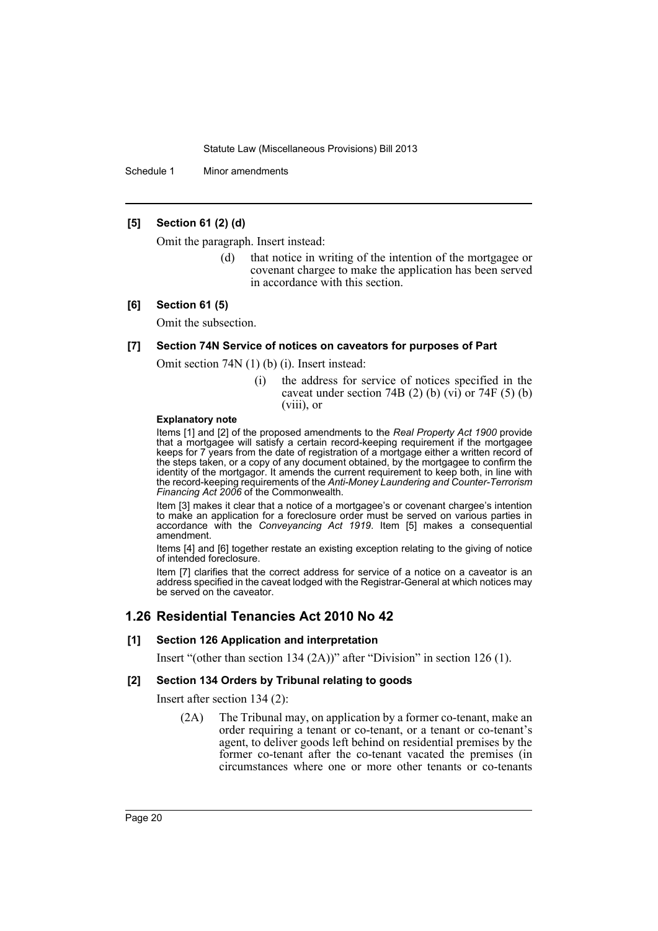Schedule 1 Minor amendments

### **[5] Section 61 (2) (d)**

Omit the paragraph. Insert instead:

(d) that notice in writing of the intention of the mortgagee or covenant chargee to make the application has been served in accordance with this section.

### **[6] Section 61 (5)**

Omit the subsection.

### **[7] Section 74N Service of notices on caveators for purposes of Part**

Omit section 74N (1) (b) (i). Insert instead:

(i) the address for service of notices specified in the caveat under section 74B (2) (b) (vi) or 74F (5) (b) (viii), or

#### **Explanatory note**

Items [1] and [2] of the proposed amendments to the *Real Property Act 1900* provide that a mortgagee will satisfy a certain record-keeping requirement if the mortgagee keeps for 7 years from the date of registration of a mortgage either a written record of the steps taken, or a copy of any document obtained, by the mortgagee to confirm the identity of the mortgagor. It amends the current requirement to keep both, in line with the record-keeping requirements of the *Anti-Money Laundering and Counter-Terrorism Financing Act 2006* of the Commonwealth.

Item [3] makes it clear that a notice of a mortgagee's or covenant chargee's intention to make an application for a foreclosure order must be served on various parties in accordance with the *Conveyancing Act 1919*. Item [5] makes a consequential amendment.

Items [4] and [6] together restate an existing exception relating to the giving of notice of intended foreclosure.

Item [7] clarifies that the correct address for service of a notice on a caveator is an address specified in the caveat lodged with the Registrar-General at which notices may be served on the caveator.

### **1.26 Residential Tenancies Act 2010 No 42**

#### **[1] Section 126 Application and interpretation**

Insert "(other than section 134 (2A))" after "Division" in section 126 (1).

### **[2] Section 134 Orders by Tribunal relating to goods**

Insert after section 134 (2):

(2A) The Tribunal may, on application by a former co-tenant, make an order requiring a tenant or co-tenant, or a tenant or co-tenant's agent, to deliver goods left behind on residential premises by the former co-tenant after the co-tenant vacated the premises (in circumstances where one or more other tenants or co-tenants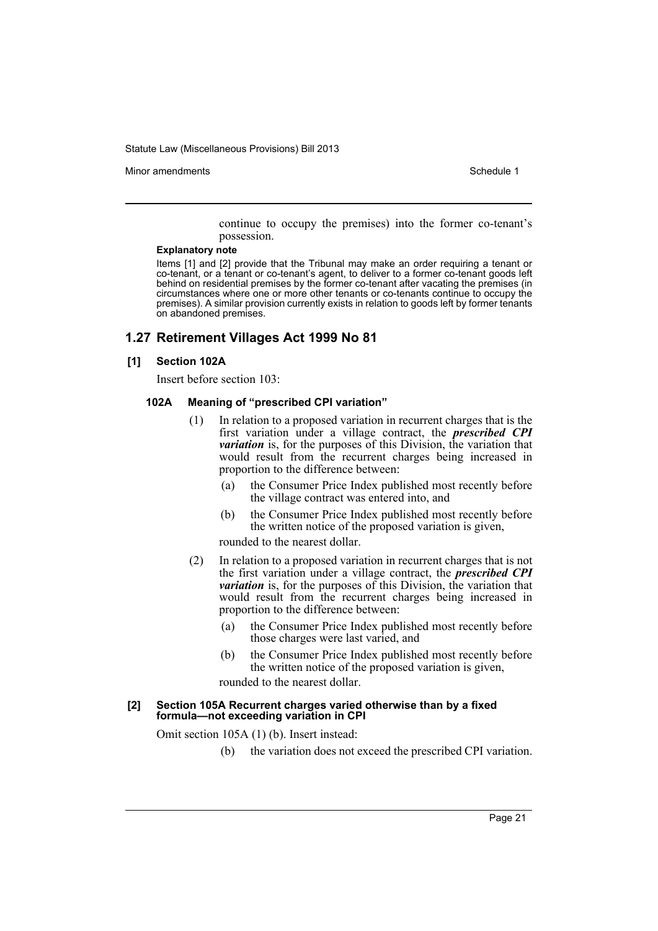Minor amendments **Schedule 1** and the state of the state 1 and the state of the Schedule 1

continue to occupy the premises) into the former co-tenant's possession.

#### **Explanatory note**

Items [1] and [2] provide that the Tribunal may make an order requiring a tenant or co-tenant, or a tenant or co-tenant's agent, to deliver to a former co-tenant goods left behind on residential premises by the former co-tenant after vacating the premises (in circumstances where one or more other tenants or co-tenants continue to occupy the premises). A similar provision currently exists in relation to goods left by former tenants on abandoned premises.

### **1.27 Retirement Villages Act 1999 No 81**

### **[1] Section 102A**

Insert before section 103:

#### **102A Meaning of "prescribed CPI variation"**

- (1) In relation to a proposed variation in recurrent charges that is the first variation under a village contract, the *prescribed CPI variation* is, for the purposes of this Division, the variation that would result from the recurrent charges being increased in proportion to the difference between:
	- (a) the Consumer Price Index published most recently before the village contract was entered into, and
	- (b) the Consumer Price Index published most recently before the written notice of the proposed variation is given,

rounded to the nearest dollar.

- (2) In relation to a proposed variation in recurrent charges that is not the first variation under a village contract, the *prescribed CPI variation* is, for the purposes of this Division, the variation that would result from the recurrent charges being increased in proportion to the difference between:
	- (a) the Consumer Price Index published most recently before those charges were last varied, and
	- (b) the Consumer Price Index published most recently before the written notice of the proposed variation is given,

rounded to the nearest dollar.

#### **[2] Section 105A Recurrent charges varied otherwise than by a fixed formula—not exceeding variation in CPI**

Omit section 105A (1) (b). Insert instead:

(b) the variation does not exceed the prescribed CPI variation.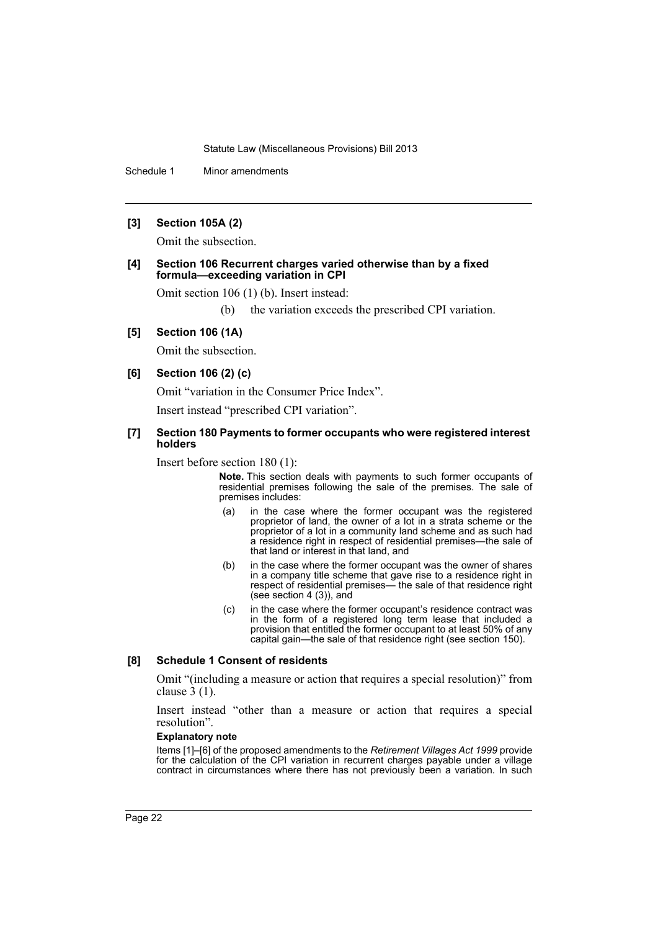Schedule 1 Minor amendments

### **[3] Section 105A (2)**

Omit the subsection.

#### **[4] Section 106 Recurrent charges varied otherwise than by a fixed formula—exceeding variation in CPI**

Omit section 106 (1) (b). Insert instead:

(b) the variation exceeds the prescribed CPI variation.

### **[5] Section 106 (1A)**

Omit the subsection.

### **[6] Section 106 (2) (c)**

Omit "variation in the Consumer Price Index".

Insert instead "prescribed CPI variation".

### **[7] Section 180 Payments to former occupants who were registered interest holders**

Insert before section 180 (1):

**Note.** This section deals with payments to such former occupants of residential premises following the sale of the premises. The sale of premises includes:

- (a) in the case where the former occupant was the registered proprietor of land, the owner of a lot in a strata scheme or the proprietor of a lot in a community land scheme and as such had a residence right in respect of residential premises—the sale of that land or interest in that land, and
- (b) in the case where the former occupant was the owner of shares in a company title scheme that gave rise to a residence right in respect of residential premises— the sale of that residence right (see section 4 (3)), and
- (c) in the case where the former occupant's residence contract was in the form of a registered long term lease that included a provision that entitled the former occupant to at least 50% of any capital gain—the sale of that residence right (see section 150).

### **[8] Schedule 1 Consent of residents**

Omit "(including a measure or action that requires a special resolution)" from clause 3 (1).

Insert instead "other than a measure or action that requires a special resolution".

### **Explanatory note**

Items [1]–[6] of the proposed amendments to the *Retirement Villages Act 1999* provide for the calculation of the CPI variation in recurrent charges payable under a village contract in circumstances where there has not previously been a variation. In such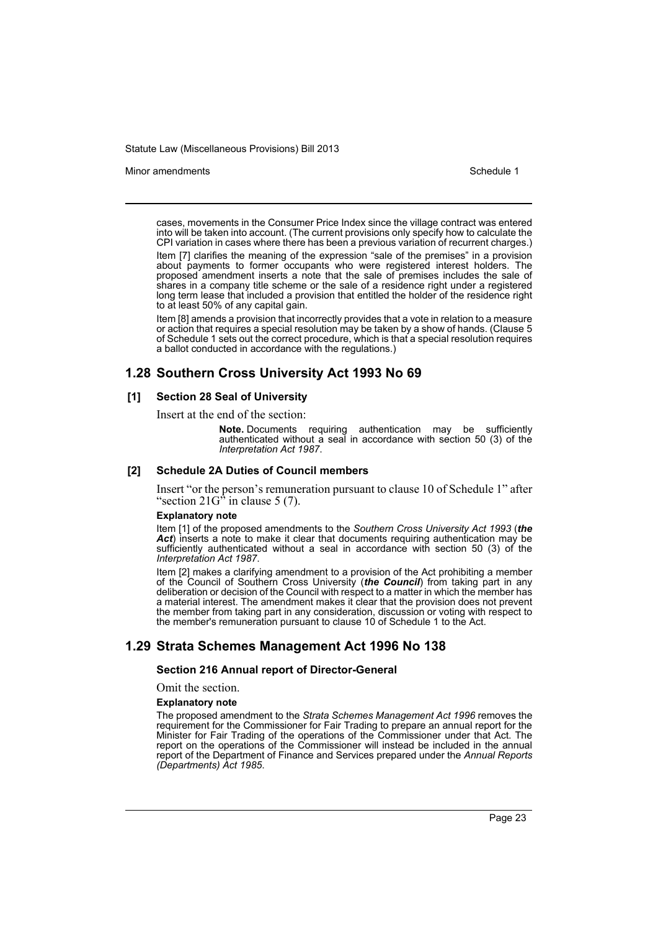#### Minor amendments **Schedule 1** and the state of the state 1 and the state of the Schedule 1

cases, movements in the Consumer Price Index since the village contract was entered into will be taken into account. (The current provisions only specify how to calculate the CPI variation in cases where there has been a previous variation of recurrent charges.)

Item [7] clarifies the meaning of the expression "sale of the premises" in a provision about payments to former occupants who were registered interest holders. The proposed amendment inserts a note that the sale of premises includes the sale of shares in a company title scheme or the sale of a residence right under a registered long term lease that included a provision that entitled the holder of the residence right to at least 50% of any capital gain.

Item [8] amends a provision that incorrectly provides that a vote in relation to a measure or action that requires a special resolution may be taken by a show of hands. (Clause 5 of Schedule 1 sets out the correct procedure, which is that a special resolution requires a ballot conducted in accordance with the regulations.)

### **1.28 Southern Cross University Act 1993 No 69**

### **[1] Section 28 Seal of University**

Insert at the end of the section:

**Note.** Documents requiring authentication may be sufficiently authenticated without a seal in accordance with section 50 (3) of the *Interpretation Act 1987*.

#### **[2] Schedule 2A Duties of Council members**

Insert "or the person's remuneration pursuant to clause 10 of Schedule 1" after "section  $21G^5$  in clause 5 (7).

#### **Explanatory note**

Item [1] of the proposed amendments to the *Southern Cross University Act 1993* (*the* Act) inserts a note to make it clear that documents requiring authentication may be sufficiently authenticated without a seal in accordance with section 50 (3) of the *Interpretation Act 1987*.

Item [2] makes a clarifying amendment to a provision of the Act prohibiting a member of the Council of Southern Cross University (*the Council*) from taking part in any deliberation or decision of the Council with respect to a matter in which the member has a material interest. The amendment makes it clear that the provision does not prevent the member from taking part in any consideration, discussion or voting with respect to the member's remuneration pursuant to clause 10 of Schedule 1 to the Act.

### **1.29 Strata Schemes Management Act 1996 No 138**

#### **Section 216 Annual report of Director-General**

Omit the section.

#### **Explanatory note**

The proposed amendment to the *Strata Schemes Management Act 1996* removes the requirement for the Commissioner for Fair Trading to prepare an annual report for the Minister for Fair Trading of the operations of the Commissioner under that Act. The report on the operations of the Commissioner will instead be included in the annual report of the Department of Finance and Services prepared under the *Annual Reports (Departments) Act 1985*.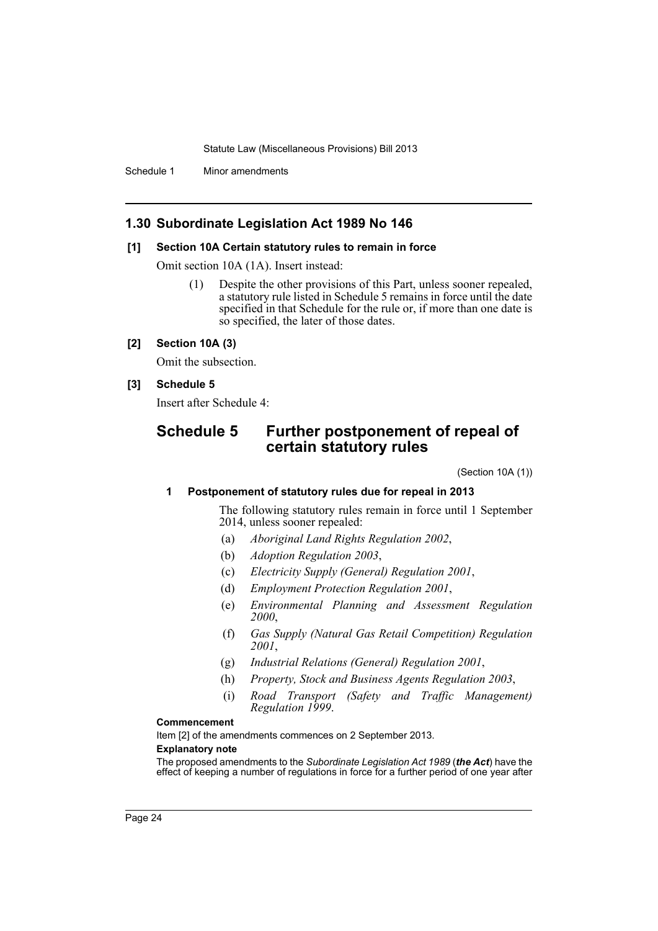Schedule 1 Minor amendments

## **1.30 Subordinate Legislation Act 1989 No 146**

### **[1] Section 10A Certain statutory rules to remain in force**

Omit section 10A (1A). Insert instead:

(1) Despite the other provisions of this Part, unless sooner repealed, a statutory rule listed in Schedule 5 remains in force until the date specified in that Schedule for the rule or, if more than one date is so specified, the later of those dates.

### **[2] Section 10A (3)**

Omit the subsection.

### **[3] Schedule 5**

Insert after Schedule 4:

# **Schedule 5 Further postponement of repeal of certain statutory rules**

(Section 10A (1))

### **1 Postponement of statutory rules due for repeal in 2013**

The following statutory rules remain in force until 1 September 2014, unless sooner repealed:

- (a) *Aboriginal Land Rights Regulation 2002*,
- (b) *Adoption Regulation 2003*,
- (c) *Electricity Supply (General) Regulation 2001*,
- (d) *Employment Protection Regulation 2001*,
- (e) *Environmental Planning and Assessment Regulation 2000*,
- (f) *Gas Supply (Natural Gas Retail Competition) Regulation 2001*,
- (g) *Industrial Relations (General) Regulation 2001*,
- (h) *Property, Stock and Business Agents Regulation 2003*,
- (i) *Road Transport (Safety and Traffic Management) Regulation 1999*.

#### **Commencement**

Item [2] of the amendments commences on 2 September 2013.

### **Explanatory note**

The proposed amendments to the *Subordinate Legislation Act 1989* (*the Act*) have the effect of keeping a number of regulations in force for a further period of one year after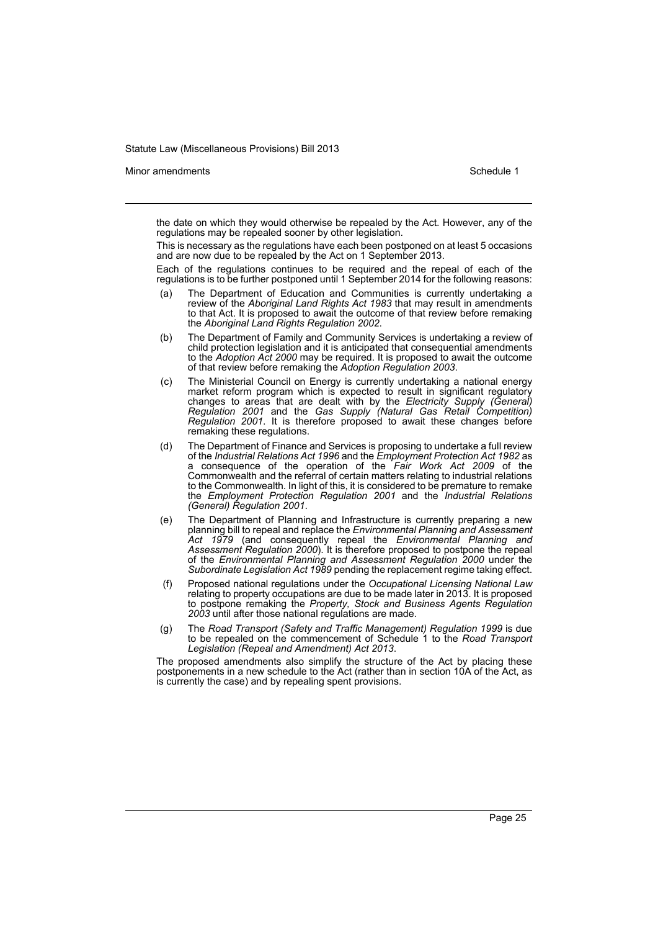Minor amendments **Schedule 1** and the state of the state 1 and the state of the Schedule 1

the date on which they would otherwise be repealed by the Act. However, any of the regulations may be repealed sooner by other legislation.

This is necessary as the regulations have each been postponed on at least 5 occasions and are now due to be repealed by the Act on 1 September 2013.

Each of the regulations continues to be required and the repeal of each of the regulations is to be further postponed until 1 September 2014 for the following reasons:

- (a) The Department of Education and Communities is currently undertaking a review of the *Aboriginal Land Rights Act 1983* that may result in amendments to that Act. It is proposed to await the outcome of that review before remaking the *Aboriginal Land Rights Regulation 2002*.
- (b) The Department of Family and Community Services is undertaking a review of child protection legislation and it is anticipated that consequential amendments to the *Adoption Act 2000* may be required. It is proposed to await the outcome of that review before remaking the *Adoption Regulation 2003*.
- (c) The Ministerial Council on Energy is currently undertaking a national energy market reform program which is expected to result in significant regulatory changes to areas that are dealt with by the *Electricity Supply (General) Regulation 2001* and the *Gas Supply (Natural Gas Retail Competition) Regulation 2001*. It is therefore proposed to await these changes before remaking these regulations.
- (d) The Department of Finance and Services is proposing to undertake a full review of the *Industrial Relations Act 1996* and the *Employment Protection Act 1982* as a consequence of the operation of the *Fair Work Act 2009* of the Commonwealth and the referral of certain matters relating to industrial relations to the Commonwealth. In light of this, it is considered to be premature to remake the *Employment Protection Regulation 2001* and the *Industrial Relations (General) Regulation 2001*.
- (e) The Department of Planning and Infrastructure is currently preparing a new planning bill to repeal and replace the *Environmental Planning and Assessment Act 1979* (and consequently repeal the *Environmental Planning and Assessment Regulation 2000*). It is therefore proposed to postpone the repeal of the *Environmental Planning and Assessment Regulation 2000* under the *Subordinate Legislation Act 1989* pending the replacement regime taking effect.
- (f) Proposed national regulations under the *Occupational Licensing National Law* relating to property occupations are due to be made later in 2013. It is proposed to postpone remaking the *Property, Stock and Business Agents Regulation 2003* until after those national regulations are made.
- (g) The *Road Transport (Safety and Traffic Management) Regulation 1999* is due to be repealed on the commencement of Schedule 1 to the *Road Transport Legislation (Repeal and Amendment) Act 2013*.

The proposed amendments also simplify the structure of the Act by placing these postponements in a new schedule to the Act (rather than in section 10A of the Act, as is currently the case) and by repealing spent provisions.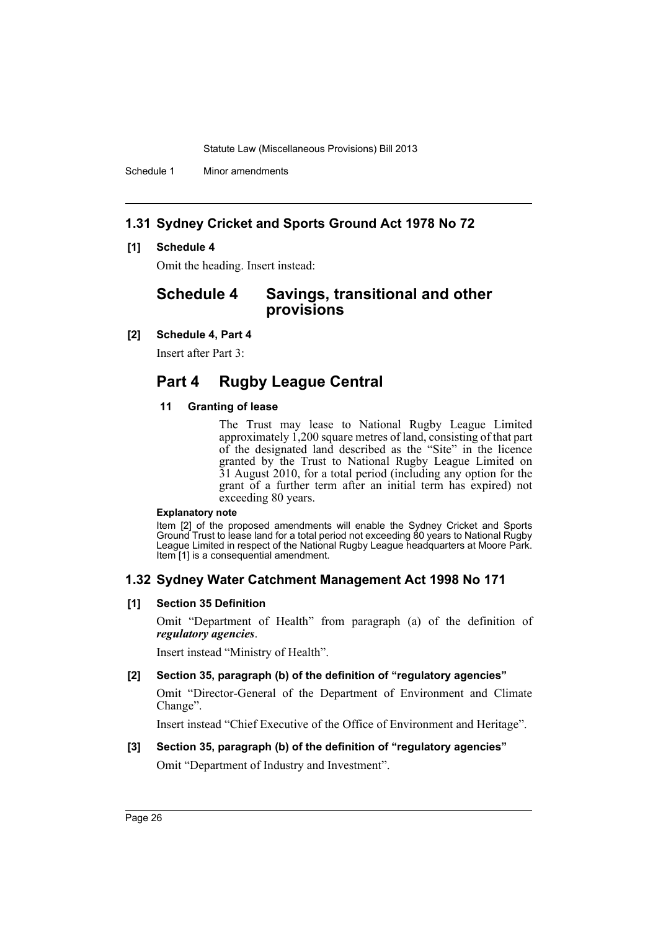Schedule 1 Minor amendments

# **1.31 Sydney Cricket and Sports Ground Act 1978 No 72**

### **[1] Schedule 4**

Omit the heading. Insert instead:

# **Schedule 4 Savings, transitional and other provisions**

### **[2] Schedule 4, Part 4**

Insert after Part 3:

# **Part 4 Rugby League Central**

### **11 Granting of lease**

The Trust may lease to National Rugby League Limited approximately 1,200 square metres of land, consisting of that part of the designated land described as the "Site" in the licence granted by the Trust to National Rugby League Limited on 31 August 2010, for a total period (including any option for the grant of a further term after an initial term has expired) not exceeding 80 years.

#### **Explanatory note**

Item [2] of the proposed amendments will enable the Sydney Cricket and Sports Ground Trust to lease land for a total period not exceeding 80 years to National Rugby League Limited in respect of the National Rugby League headquarters at Moore Park. Item [1] is a consequential amendment.

### **1.32 Sydney Water Catchment Management Act 1998 No 171**

### **[1] Section 35 Definition**

Omit "Department of Health" from paragraph (a) of the definition of *regulatory agencies*.

Insert instead "Ministry of Health".

### **[2] Section 35, paragraph (b) of the definition of "regulatory agencies"**

Omit "Director-General of the Department of Environment and Climate Change".

Insert instead "Chief Executive of the Office of Environment and Heritage".

### **[3] Section 35, paragraph (b) of the definition of "regulatory agencies"**

Omit "Department of Industry and Investment".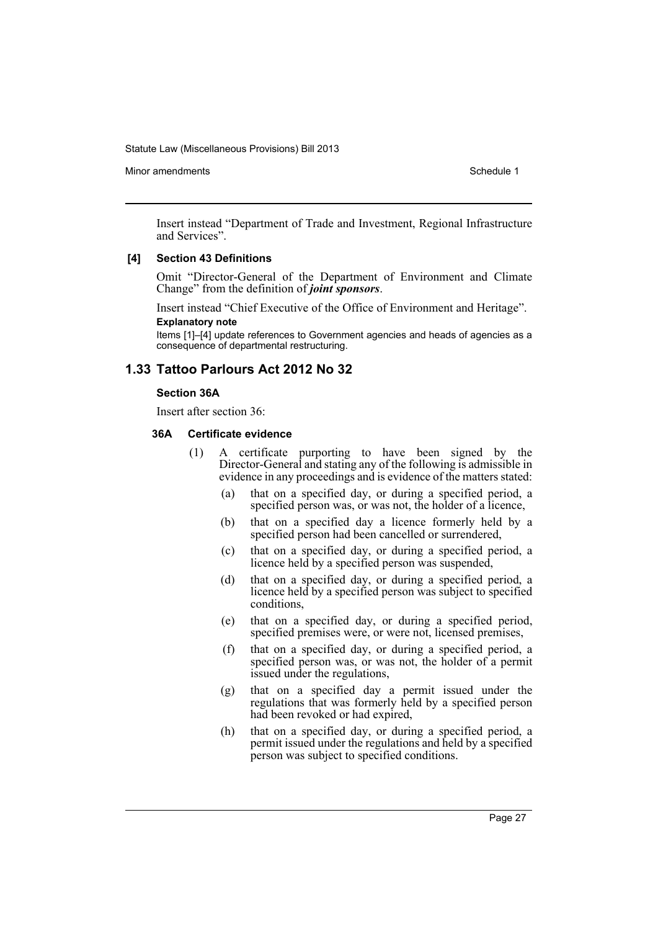Minor amendments **Schedule 1** and the state of the state 1 and the state of the Schedule 1

Insert instead "Department of Trade and Investment, Regional Infrastructure and Services".

### **[4] Section 43 Definitions**

Omit "Director-General of the Department of Environment and Climate Change" from the definition of *joint sponsors*.

Insert instead "Chief Executive of the Office of Environment and Heritage". **Explanatory note**

Items [1]–[4] update references to Government agencies and heads of agencies as a consequence of departmental restructuring.

### **1.33 Tattoo Parlours Act 2012 No 32**

#### **Section 36A**

Insert after section 36:

#### **36A Certificate evidence**

- (1) A certificate purporting to have been signed by the Director-General and stating any of the following is admissible in evidence in any proceedings and is evidence of the matters stated:
	- (a) that on a specified day, or during a specified period, a specified person was, or was not, the holder of a licence,
	- (b) that on a specified day a licence formerly held by a specified person had been cancelled or surrendered,
	- (c) that on a specified day, or during a specified period, a licence held by a specified person was suspended,
	- (d) that on a specified day, or during a specified period, a licence held by a specified person was subject to specified conditions,
	- (e) that on a specified day, or during a specified period, specified premises were, or were not, licensed premises,
	- (f) that on a specified day, or during a specified period, a specified person was, or was not, the holder of a permit issued under the regulations,
	- (g) that on a specified day a permit issued under the regulations that was formerly held by a specified person had been revoked or had expired,
	- (h) that on a specified day, or during a specified period, a permit issued under the regulations and held by a specified person was subject to specified conditions.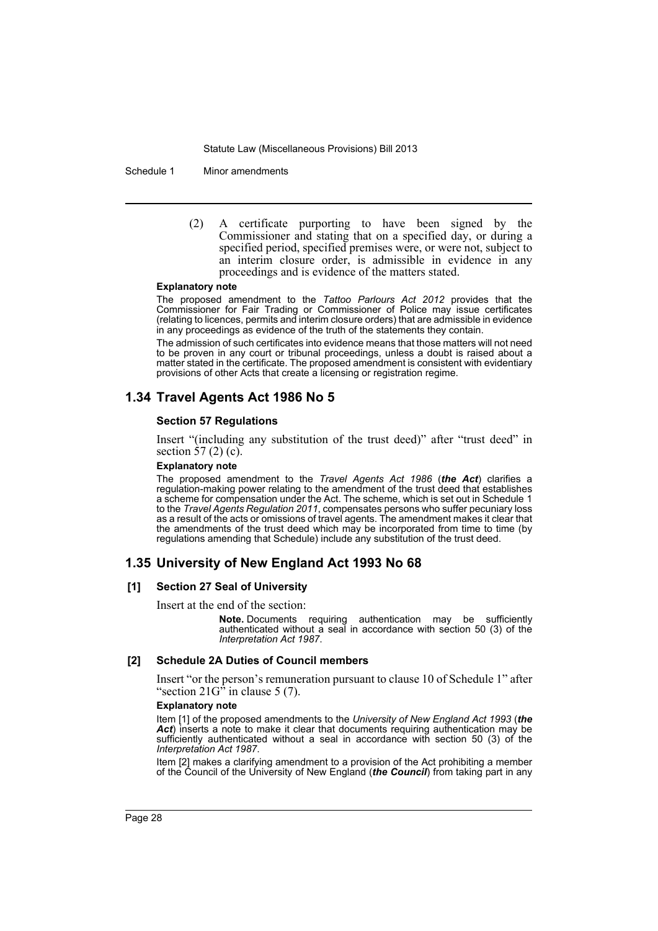Schedule 1 Minor amendments

(2) A certificate purporting to have been signed by the Commissioner and stating that on a specified day, or during a specified period, specified premises were, or were not, subject to an interim closure order, is admissible in evidence in any proceedings and is evidence of the matters stated.

#### **Explanatory note**

The proposed amendment to the *Tattoo Parlours Act 2012* provides that the Commissioner for Fair Trading or Commissioner of Police may issue certificates (relating to licences, permits and interim closure orders) that are admissible in evidence in any proceedings as evidence of the truth of the statements they contain.

The admission of such certificates into evidence means that those matters will not need to be proven in any court or tribunal proceedings, unless a doubt is raised about a matter stated in the certificate. The proposed amendment is consistent with evidentiary provisions of other Acts that create a licensing or registration regime.

# **1.34 Travel Agents Act 1986 No 5**

#### **Section 57 Regulations**

Insert "(including any substitution of the trust deed)" after "trust deed" in section  $\overline{57}$  (2) (c).

#### **Explanatory note**

The proposed amendment to the *Travel Agents Act 1986* (*the Act*) clarifies a regulation-making power relating to the amendment of the trust deed that establishes a scheme for compensation under the Act. The scheme, which is set out in Schedule 1 to the *Travel Agents Regulation 2011*, compensates persons who suffer pecuniary loss as a result of the acts or omissions of travel agents. The amendment makes it clear that the amendments of the trust deed which may be incorporated from time to time (by regulations amending that Schedule) include any substitution of the trust deed.

### **1.35 University of New England Act 1993 No 68**

### **[1] Section 27 Seal of University**

Insert at the end of the section:

**Note.** Documents requiring authentication may be sufficiently authenticated without a seal in accordance with section 50 (3) of the *Interpretation Act 1987*.

### **[2] Schedule 2A Duties of Council members**

Insert "or the person's remuneration pursuant to clause 10 of Schedule 1" after "section 21G" in clause 5 (7).

#### **Explanatory note**

Item [1] of the proposed amendments to the *University of New England Act 1993* (*the* Act) inserts a note to make it clear that documents requiring authentication may be sufficiently authenticated without a seal in accordance with section 50 (3) of the *Interpretation Act 1987*.

Item [2] makes a clarifying amendment to a provision of the Act prohibiting a member of the Council of the University of New England (*the Council*) from taking part in any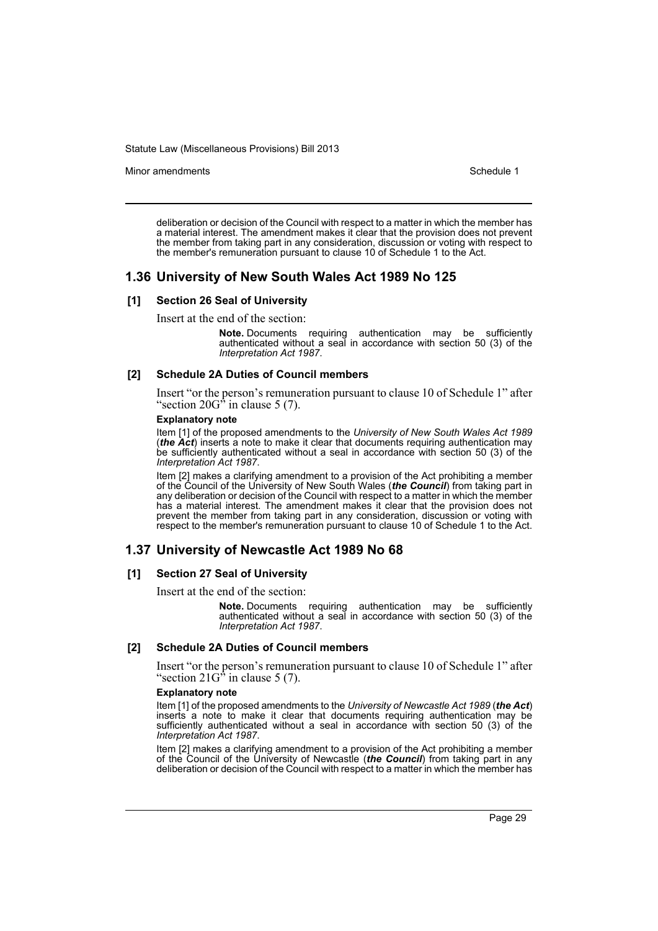Minor amendments **Schedule 1** and the state of the state 1 and the state of the Schedule 1

deliberation or decision of the Council with respect to a matter in which the member has a material interest. The amendment makes it clear that the provision does not prevent the member from taking part in any consideration, discussion or voting with respect to the member's remuneration pursuant to clause 10 of Schedule 1 to the Act.

### **1.36 University of New South Wales Act 1989 No 125**

#### **[1] Section 26 Seal of University**

Insert at the end of the section:

**Note.** Documents requiring authentication may be sufficiently authenticated without a seal in accordance with section 50 (3) of the *Interpretation Act 1987*.

#### **[2] Schedule 2A Duties of Council members**

Insert "or the person's remuneration pursuant to clause 10 of Schedule 1" after "section  $20G^{\hat{}}$  in clause 5 (7).

#### **Explanatory note**

Item [1] of the proposed amendments to the *University of New South Wales Act 1989* (*the Act*) inserts a note to make it clear that documents requiring authentication may be sufficiently authenticated without a seal in accordance with section 50 (3) of the *Interpretation Act 1987*.

Item [2] makes a clarifying amendment to a provision of the Act prohibiting a member of the Council of the University of New South Wales (*the Council*) from taking part in any deliberation or decision of the Council with respect to a matter in which the member has a material interest. The amendment makes it clear that the provision does not prevent the member from taking part in any consideration, discussion or voting with respect to the member's remuneration pursuant to clause 10 of Schedule 1 to the Act.

### **1.37 University of Newcastle Act 1989 No 68**

### **[1] Section 27 Seal of University**

Insert at the end of the section:

**Note.** Documents requiring authentication may be sufficiently authenticated without a seal in accordance with section 50 (3) of the *Interpretation Act 1987*.

### **[2] Schedule 2A Duties of Council members**

Insert "or the person's remuneration pursuant to clause 10 of Schedule 1" after "section  $21G^5$  in clause 5 (7).

#### **Explanatory note**

Item [1] of the proposed amendments to the *University of Newcastle Act 1989* (*the Act*) inserts a note to make it clear that documents requiring authentication may be sufficiently authenticated without a seal in accordance with section 50 (3) of the *Interpretation Act 1987*.

Item [2] makes a clarifying amendment to a provision of the Act prohibiting a member of the Council of the University of Newcastle (*the Council*) from taking part in any deliberation or decision of the Council with respect to a matter in which the member has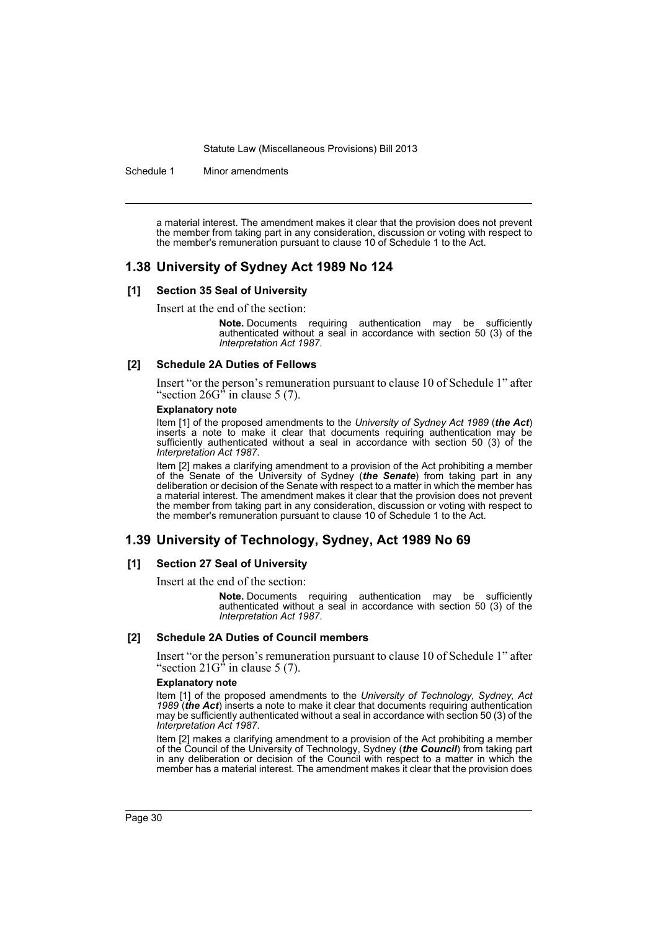Schedule 1 Minor amendments

a material interest. The amendment makes it clear that the provision does not prevent the member from taking part in any consideration, discussion or voting with respect to the member's remuneration pursuant to clause 10 of Schedule 1 to the Act.

### **1.38 University of Sydney Act 1989 No 124**

#### **[1] Section 35 Seal of University**

Insert at the end of the section:

**Note.** Documents requiring authentication may be sufficiently authenticated without a seal in accordance with section 50 (3) of the *Interpretation Act 1987*.

#### **[2] Schedule 2A Duties of Fellows**

Insert "or the person's remuneration pursuant to clause 10 of Schedule 1" after "section  $26G^{\prime\prime}$  in clause 5 (7).

#### **Explanatory note**

Item [1] of the proposed amendments to the *University of Sydney Act 1989* (*the Act*) inserts a note to make it clear that documents requiring authentication may be sufficiently authenticated without a seal in accordance with section 50 (3) of the *Interpretation Act 1987*.

Item [2] makes a clarifying amendment to a provision of the Act prohibiting a member of the Senate of the University of Sydney (*the Senate*) from taking part in any deliberation or decision of the Senate with respect to a matter in which the member has a material interest. The amendment makes it clear that the provision does not prevent the member from taking part in any consideration, discussion or voting with respect to the member's remuneration pursuant to clause 10 of Schedule 1 to the Act.

### **1.39 University of Technology, Sydney, Act 1989 No 69**

#### **[1] Section 27 Seal of University**

Insert at the end of the section:

**Note.** Documents requiring authentication may be sufficiently authenticated without a seal in accordance with section 50 (3) of the *Interpretation Act 1987*.

#### **[2] Schedule 2A Duties of Council members**

Insert "or the person's remuneration pursuant to clause 10 of Schedule 1" after "section  $21G^{\prime\prime}$  in clause 5 (7).

#### **Explanatory note**

Item [1] of the proposed amendments to the *University of Technology, Sydney, Act 1989* (*the Act*) inserts a note to make it clear that documents requiring authentication may be sufficiently authenticated without a seal in accordance with section 50 (3) of the *Interpretation Act 1987*.

Item [2] makes a clarifying amendment to a provision of the Act prohibiting a member of the Council of the University of Technology, Sydney (*the Council*) from taking part in any deliberation or decision of the Council with respect to a matter in which the member has a material interest. The amendment makes it clear that the provision does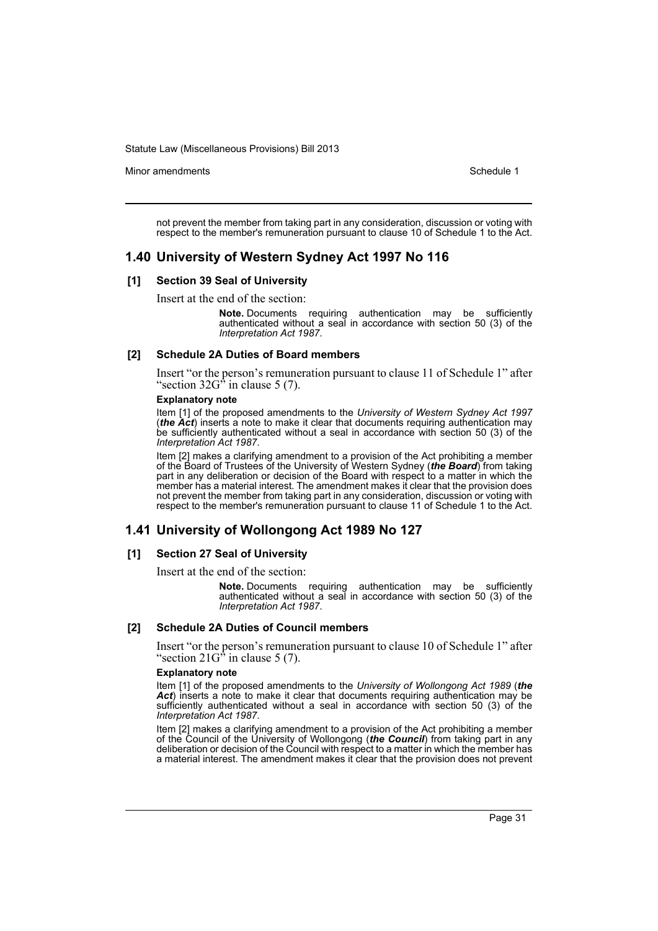Minor amendments **Schedule 1** and the state of the state 1 and the state of the Schedule 1

not prevent the member from taking part in any consideration, discussion or voting with respect to the member's remuneration pursuant to clause 10 of Schedule 1 to the Act.

# **1.40 University of Western Sydney Act 1997 No 116**

### **[1] Section 39 Seal of University**

Insert at the end of the section:

**Note.** Documents requiring authentication may be sufficiently authenticated without a seal in accordance with section 50 (3) of the *Interpretation Act 1987*.

#### **[2] Schedule 2A Duties of Board members**

Insert "or the person's remuneration pursuant to clause 11 of Schedule 1" after "section  $32G^{\hat{}}$  in clause 5 (7).

#### **Explanatory note**

Item [1] of the proposed amendments to the *University of Western Sydney Act 1997* (*the Act*) inserts a note to make it clear that documents requiring authentication may be sufficiently authenticated without a seal in accordance with section 50 (3) of the *Interpretation Act 1987*.

Item [2] makes a clarifying amendment to a provision of the Act prohibiting a member of the Board of Trustees of the University of Western Sydney (*the Board*) from taking part in any deliberation or decision of the Board with respect to a matter in which the member has a material interest. The amendment makes it clear that the provision does not prevent the member from taking part in any consideration, discussion or voting with respect to the member's remuneration pursuant to clause 11 of Schedule 1 to the Act.

# **1.41 University of Wollongong Act 1989 No 127**

### **[1] Section 27 Seal of University**

Insert at the end of the section:

**Note.** Documents requiring authentication may be sufficiently authenticated without a seal in accordance with section 50 (3) of the *Interpretation Act 1987*.

#### **[2] Schedule 2A Duties of Council members**

Insert "or the person's remuneration pursuant to clause 10 of Schedule 1" after "section  $21G^3$  in clause 5 (7).

#### **Explanatory note**

Item [1] of the proposed amendments to the *University of Wollongong Act 1989* (*the* Act) inserts a note to make it clear that documents requiring authentication may be sufficiently authenticated without a seal in accordance with section 50 (3) of the *Interpretation Act 1987*.

Item [2] makes a clarifying amendment to a provision of the Act prohibiting a member of the Council of the University of Wollongong (*the Council*) from taking part in any deliberation or decision of the Council with respect to a matter in which the member has a material interest. The amendment makes it clear that the provision does not prevent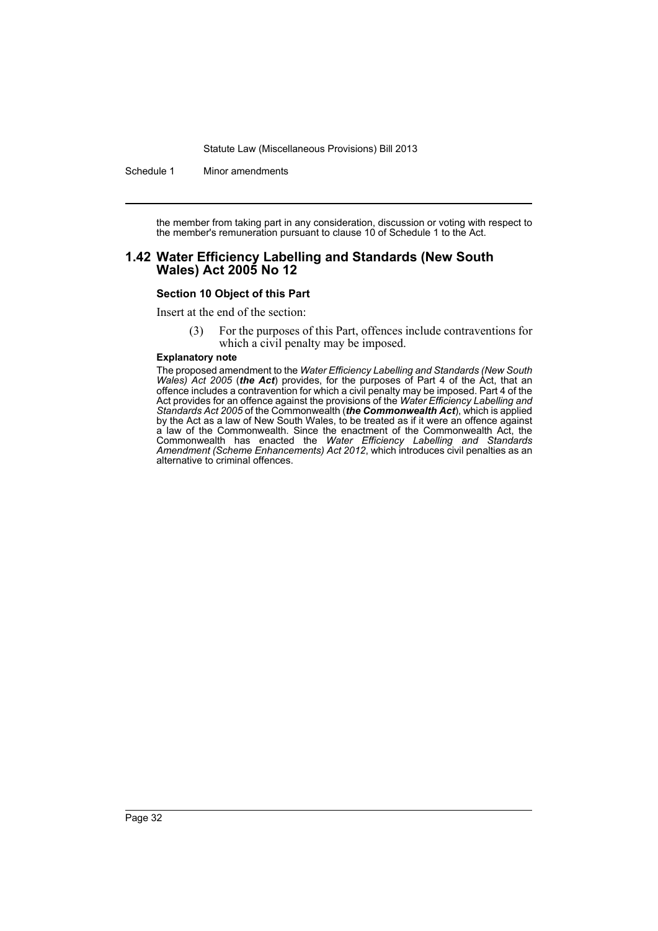Schedule 1 Minor amendments

the member from taking part in any consideration, discussion or voting with respect to the member's remuneration pursuant to clause 10 of Schedule 1 to the Act.

### **1.42 Water Efficiency Labelling and Standards (New South Wales) Act 2005 No 12**

### **Section 10 Object of this Part**

Insert at the end of the section:

(3) For the purposes of this Part, offences include contraventions for which a civil penalty may be imposed.

#### **Explanatory note**

The proposed amendment to the *Water Efficiency Labelling and Standards (New South Wales) Act 2005* (*the Act*) provides, for the purposes of Part 4 of the Act, that an offence includes a contravention for which a civil penalty may be imposed. Part 4 of the Act provides for an offence against the provisions of the *Water Efficiency Labelling and Standards Act 2005* of the Commonwealth (*the Commonwealth Act*), which is applied by the Act as a law of New South Wales, to be treated as if it were an offence against a law of the Commonwealth. Since the enactment of the Commonwealth Act, the Commonwealth has enacted the *Water Efficiency Labelling and Standards Amendment (Scheme Enhancements) Act 2012*, which introduces civil penalties as an alternative to criminal offences.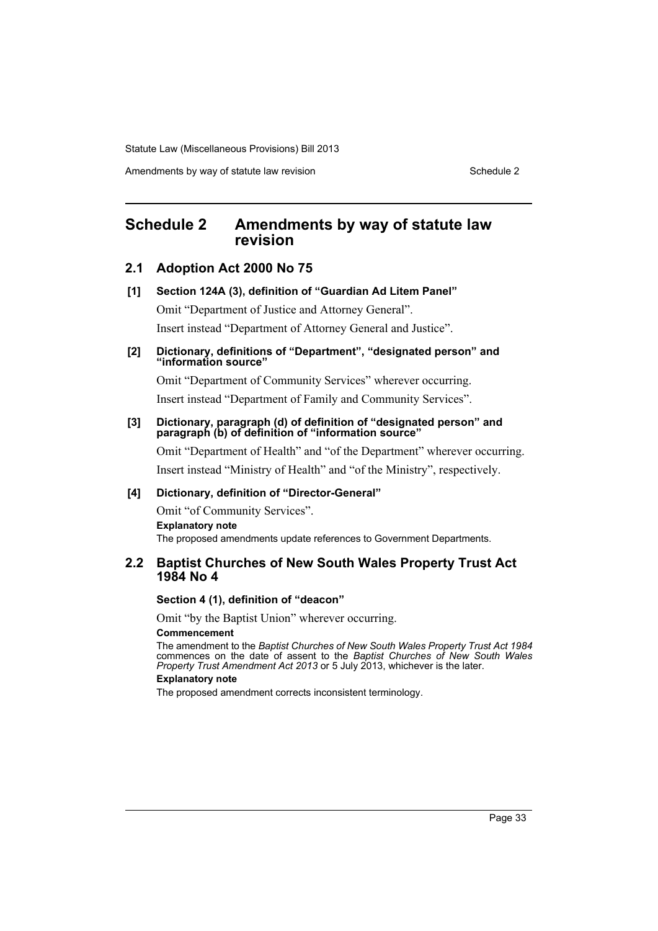Amendments by way of statute law revision Schedule 2 Schedule 2

# <span id="page-34-0"></span>**Schedule 2 Amendments by way of statute law revision**

### **2.1 Adoption Act 2000 No 75**

**[1] Section 124A (3), definition of "Guardian Ad Litem Panel"**

Omit "Department of Justice and Attorney General". Insert instead "Department of Attorney General and Justice".

### **[2] Dictionary, definitions of "Department", "designated person" and "information source"**

Omit "Department of Community Services" wherever occurring.

Insert instead "Department of Family and Community Services".

#### **[3] Dictionary, paragraph (d) of definition of "designated person" and paragraph (b) of definition of "information source"**

Omit "Department of Health" and "of the Department" wherever occurring. Insert instead "Ministry of Health" and "of the Ministry", respectively.

### **[4] Dictionary, definition of "Director-General"**

Omit "of Community Services". **Explanatory note** The proposed amendments update references to Government Departments.

### **2.2 Baptist Churches of New South Wales Property Trust Act 1984 No 4**

### **Section 4 (1), definition of "deacon"**

Omit "by the Baptist Union" wherever occurring.

#### **Commencement**

The amendment to the *Baptist Churches of New South Wales Property Trust Act 1984* commences on the date of assent to the *Baptist Churches of New South Wales Property Trust Amendment Act 2013* or 5 July 2013, whichever is the later.

#### **Explanatory note**

The proposed amendment corrects inconsistent terminology.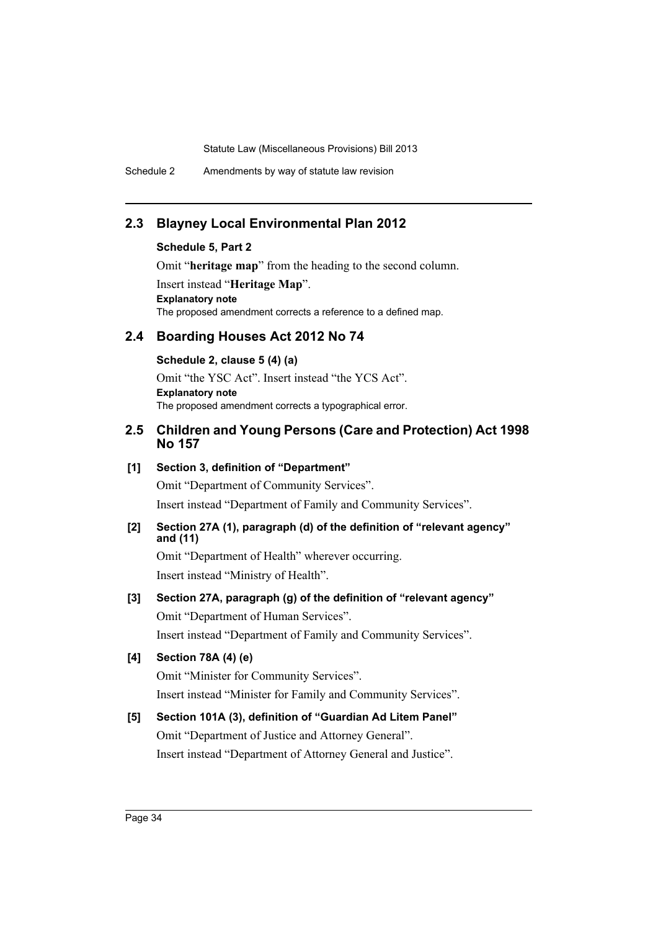Schedule 2 Amendments by way of statute law revision

# **2.3 Blayney Local Environmental Plan 2012**

### **Schedule 5, Part 2**

Omit "**heritage map**" from the heading to the second column.

Insert instead "**Heritage Map**". **Explanatory note** The proposed amendment corrects a reference to a defined map.

# **2.4 Boarding Houses Act 2012 No 74**

### **Schedule 2, clause 5 (4) (a)**

Omit "the YSC Act". Insert instead "the YCS Act". **Explanatory note** The proposed amendment corrects a typographical error.

# **2.5 Children and Young Persons (Care and Protection) Act 1998 No 157**

### **[1] Section 3, definition of "Department"**

Omit "Department of Community Services". Insert instead "Department of Family and Community Services".

### **[2] Section 27A (1), paragraph (d) of the definition of "relevant agency" and (11)**

Omit "Department of Health" wherever occurring. Insert instead "Ministry of Health".

# **[3] Section 27A, paragraph (g) of the definition of "relevant agency"**

Omit "Department of Human Services".

Insert instead "Department of Family and Community Services".

### **[4] Section 78A (4) (e)**

Omit "Minister for Community Services". Insert instead "Minister for Family and Community Services".

# **[5] Section 101A (3), definition of "Guardian Ad Litem Panel"**

Omit "Department of Justice and Attorney General". Insert instead "Department of Attorney General and Justice".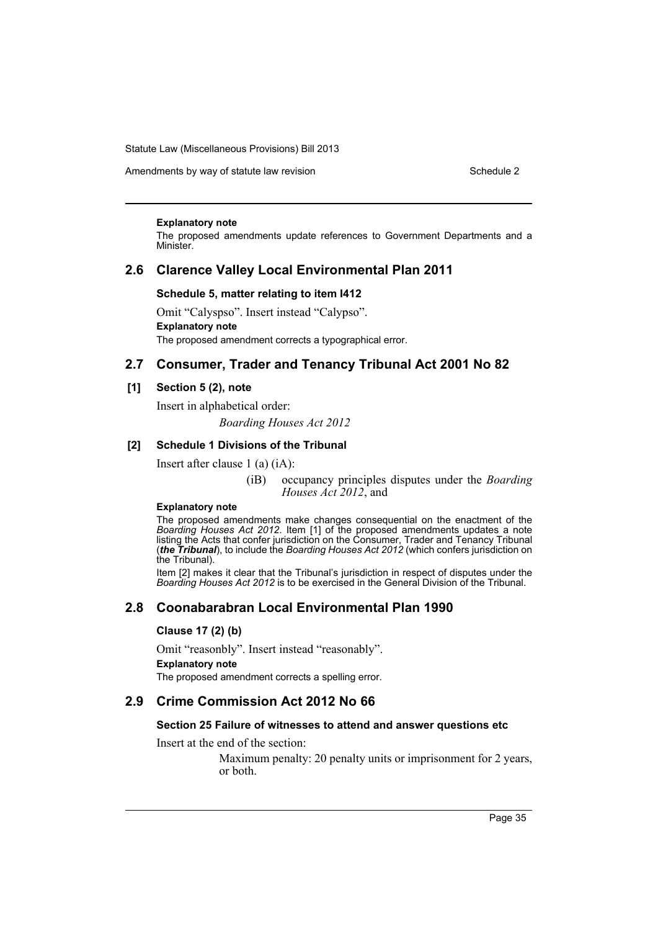Amendments by way of statute law revision Schedule 2 Schedule 2

#### **Explanatory note**

The proposed amendments update references to Government Departments and a Minister.

### **2.6 Clarence Valley Local Environmental Plan 2011**

### **Schedule 5, matter relating to item I412**

Omit "Calyspso". Insert instead "Calypso". **Explanatory note** The proposed amendment corrects a typographical error.

# **2.7 Consumer, Trader and Tenancy Tribunal Act 2001 No 82**

### **[1] Section 5 (2), note**

Insert in alphabetical order: *Boarding Houses Act 2012*

## **[2] Schedule 1 Divisions of the Tribunal**

Insert after clause 1 (a) (iA):

(iB) occupancy principles disputes under the *Boarding Houses Act 2012*, and

### **Explanatory note**

The proposed amendments make changes consequential on the enactment of the *Boarding Houses Act 2012*. Item [1] of the proposed amendments updates a note listing the Acts that confer jurisdiction on the Consumer, Trader and Tenancy Tribunal (*the Tribunal*), to include the *Boarding Houses Act 2012* (which confers jurisdiction on the Tribunal).

Item [2] makes it clear that the Tribunal's jurisdiction in respect of disputes under the *Boarding Houses Act 2012* is to be exercised in the General Division of the Tribunal.

# **2.8 Coonabarabran Local Environmental Plan 1990**

### **Clause 17 (2) (b)**

Omit "reasonbly". Insert instead "reasonably". **Explanatory note** The proposed amendment corrects a spelling error.

# **2.9 Crime Commission Act 2012 No 66**

### **Section 25 Failure of witnesses to attend and answer questions etc**

Insert at the end of the section:

Maximum penalty: 20 penalty units or imprisonment for 2 years, or both.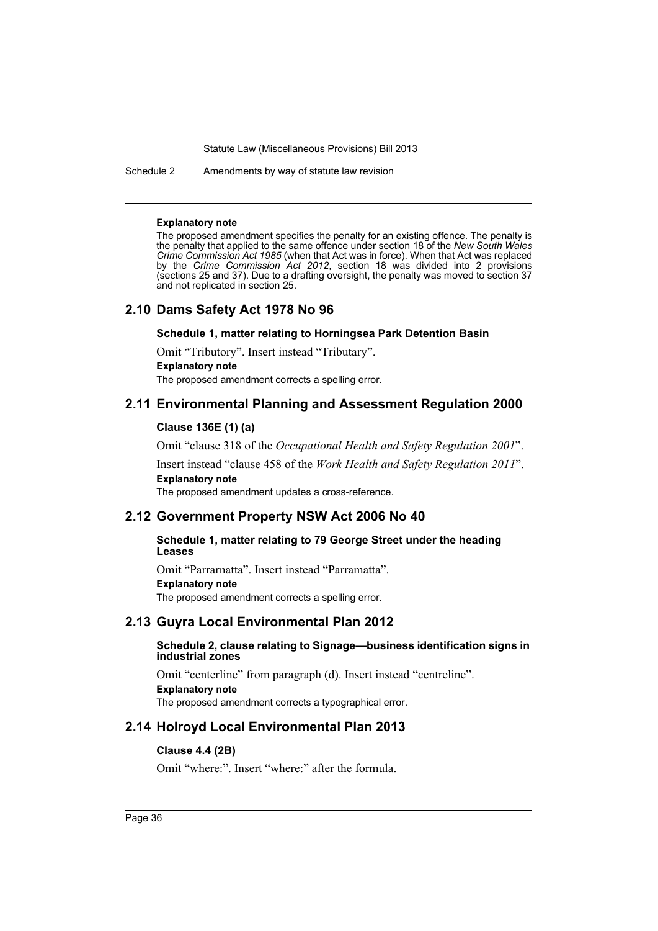Schedule 2 Amendments by way of statute law revision

#### **Explanatory note**

The proposed amendment specifies the penalty for an existing offence. The penalty is the penalty that applied to the same offence under section 18 of the *New South Wales Crime Commission Act 1985* (when that Act was in force). When that Act was replaced by the *Crime Commission Act 2012*, section 18 was divided into 2 provisions (sections 25 and 37). Due to a drafting oversight, the penalty was moved to section 37 and not replicated in section 25.

### **2.10 Dams Safety Act 1978 No 96**

### **Schedule 1, matter relating to Horningsea Park Detention Basin**

Omit "Tributory". Insert instead "Tributary". **Explanatory note**

The proposed amendment corrects a spelling error.

### **2.11 Environmental Planning and Assessment Regulation 2000**

### **Clause 136E (1) (a)**

Omit "clause 318 of the *Occupational Health and Safety Regulation 2001*". Insert instead "clause 458 of the *Work Health and Safety Regulation 2011*". **Explanatory note**

The proposed amendment updates a cross-reference.

### **2.12 Government Property NSW Act 2006 No 40**

### **Schedule 1, matter relating to 79 George Street under the heading Leases**

Omit "Parrarnatta". Insert instead "Parramatta". **Explanatory note** The proposed amendment corrects a spelling error.

### **2.13 Guyra Local Environmental Plan 2012**

### **Schedule 2, clause relating to Signage—business identification signs in industrial zones**

Omit "centerline" from paragraph (d). Insert instead "centreline". **Explanatory note** The proposed amendment corrects a typographical error.

### **2.14 Holroyd Local Environmental Plan 2013**

### **Clause 4.4 (2B)**

Omit "where:". Insert "where:" after the formula.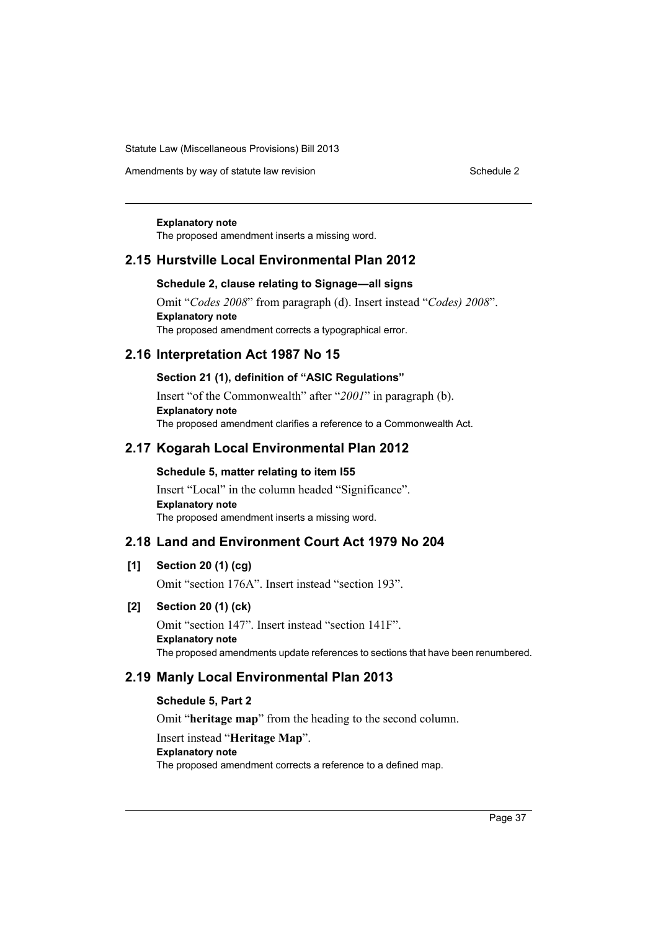Amendments by way of statute law revision Schedule 2 Schedule 2

#### **Explanatory note**

The proposed amendment inserts a missing word.

## **2.15 Hurstville Local Environmental Plan 2012**

### **Schedule 2, clause relating to Signage—all signs**

Omit "*Codes 2008*" from paragraph (d). Insert instead "*Codes) 2008*". **Explanatory note** The proposed amendment corrects a typographical error.

### **2.16 Interpretation Act 1987 No 15**

### **Section 21 (1), definition of "ASIC Regulations"**

Insert "of the Commonwealth" after "*2001*" in paragraph (b). **Explanatory note** The proposed amendment clarifies a reference to a Commonwealth Act.

### **2.17 Kogarah Local Environmental Plan 2012**

### **Schedule 5, matter relating to item I55**

Insert "Local" in the column headed "Significance". **Explanatory note** The proposed amendment inserts a missing word.

# **2.18 Land and Environment Court Act 1979 No 204**

### **[1] Section 20 (1) (cg)**

Omit "section 176A". Insert instead "section 193".

### **[2] Section 20 (1) (ck)**

Omit "section 147". Insert instead "section 141F". **Explanatory note** The proposed amendments update references to sections that have been renumbered.

### **2.19 Manly Local Environmental Plan 2013**

### **Schedule 5, Part 2**

Omit "**heritage map**" from the heading to the second column.

### Insert instead "**Heritage Map**".

### **Explanatory note**

The proposed amendment corrects a reference to a defined map.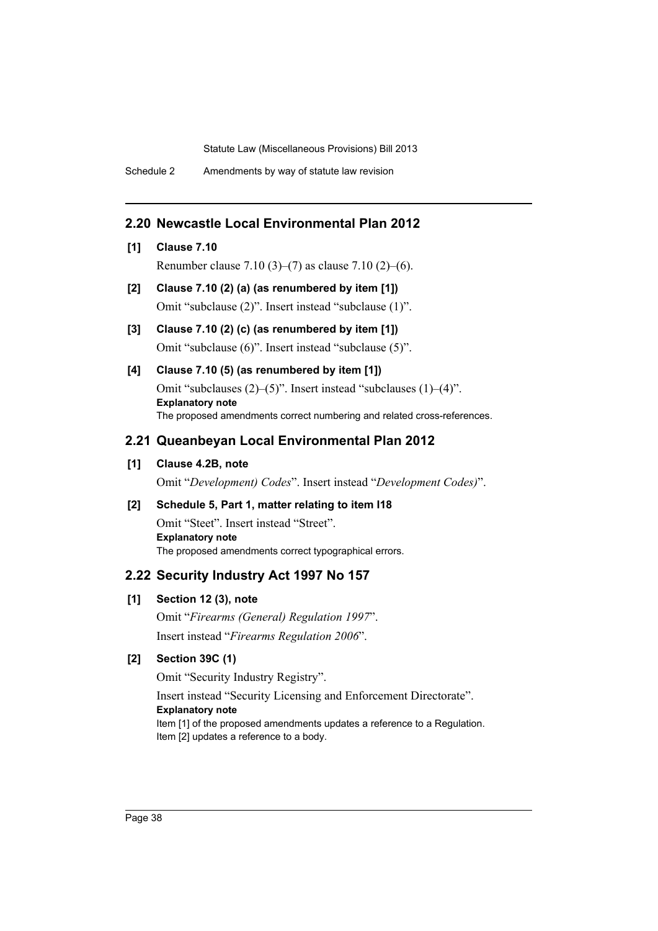Schedule 2 Amendments by way of statute law revision

# **2.20 Newcastle Local Environmental Plan 2012**

### **[1] Clause 7.10**

Renumber clause 7.10 (3)–(7) as clause 7.10 (2)–(6).

- **[2] Clause 7.10 (2) (a) (as renumbered by item [1])** Omit "subclause (2)". Insert instead "subclause (1)".
- **[3] Clause 7.10 (2) (c) (as renumbered by item [1])** Omit "subclause (6)". Insert instead "subclause (5)".

# **[4] Clause 7.10 (5) (as renumbered by item [1])** Omit "subclauses (2)–(5)". Insert instead "subclauses (1)–(4)". **Explanatory note** The proposed amendments correct numbering and related cross-references.

### **2.21 Queanbeyan Local Environmental Plan 2012**

### **[1] Clause 4.2B, note**

Omit "*Development) Codes*". Insert instead "*Development Codes)*".

### **[2] Schedule 5, Part 1, matter relating to item I18**

Omit "Steet". Insert instead "Street". **Explanatory note** The proposed amendments correct typographical errors.

### **2.22 Security Industry Act 1997 No 157**

### **[1] Section 12 (3), note**

Omit "*Firearms (General) Regulation 1997*". Insert instead "*Firearms Regulation 2006*".

# **[2] Section 39C (1)**

Omit "Security Industry Registry".

# Insert instead "Security Licensing and Enforcement Directorate".

### **Explanatory note**

Item [1] of the proposed amendments updates a reference to a Regulation. Item [2] updates a reference to a body.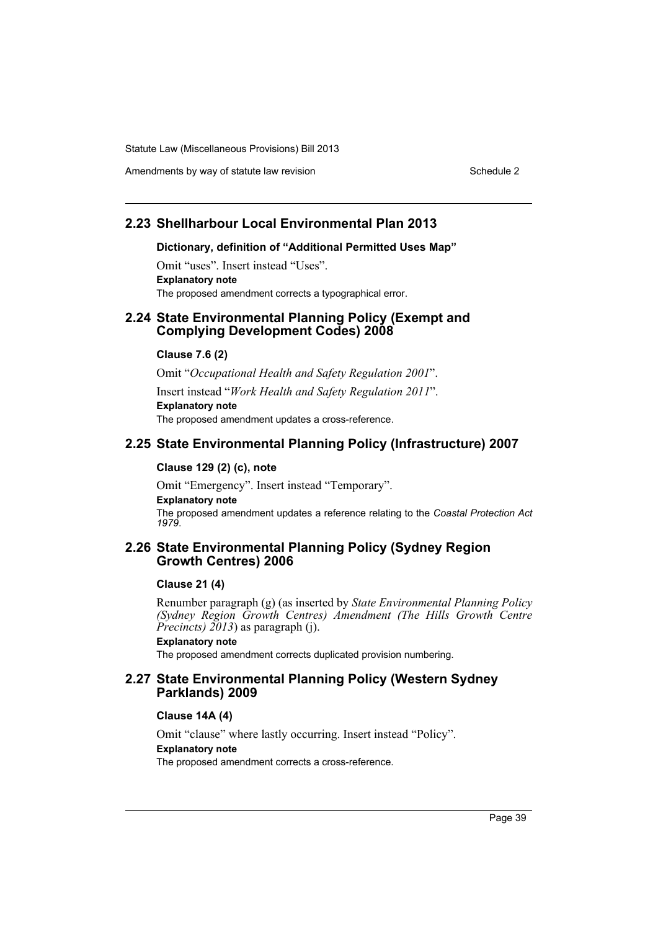Amendments by way of statute law revision Schedule 2 Schedule 2

# **2.23 Shellharbour Local Environmental Plan 2013**

#### **Dictionary, definition of "Additional Permitted Uses Map"**

Omit "uses". Insert instead "Uses". **Explanatory note** The proposed amendment corrects a typographical error.

### **2.24 State Environmental Planning Policy (Exempt and Complying Development Codes) 2008**

### **Clause 7.6 (2)**

Omit "*Occupational Health and Safety Regulation 2001*". Insert instead "*Work Health and Safety Regulation 2011*". **Explanatory note** The proposed amendment updates a cross-reference.

### **2.25 State Environmental Planning Policy (Infrastructure) 2007**

### **Clause 129 (2) (c), note**

Omit "Emergency". Insert instead "Temporary". **Explanatory note** The proposed amendment updates a reference relating to the *Coastal Protection Act 1979*.

### **2.26 State Environmental Planning Policy (Sydney Region Growth Centres) 2006**

### **Clause 21 (4)**

Renumber paragraph (g) (as inserted by *State Environmental Planning Policy (Sydney Region Growth Centres) Amendment (The Hills Growth Centre Precincts) 2013*) as paragraph (j).

### **Explanatory note**

The proposed amendment corrects duplicated provision numbering.

### **2.27 State Environmental Planning Policy (Western Sydney Parklands) 2009**

#### **Clause 14A (4)**

Omit "clause" where lastly occurring. Insert instead "Policy".

### **Explanatory note**

The proposed amendment corrects a cross-reference.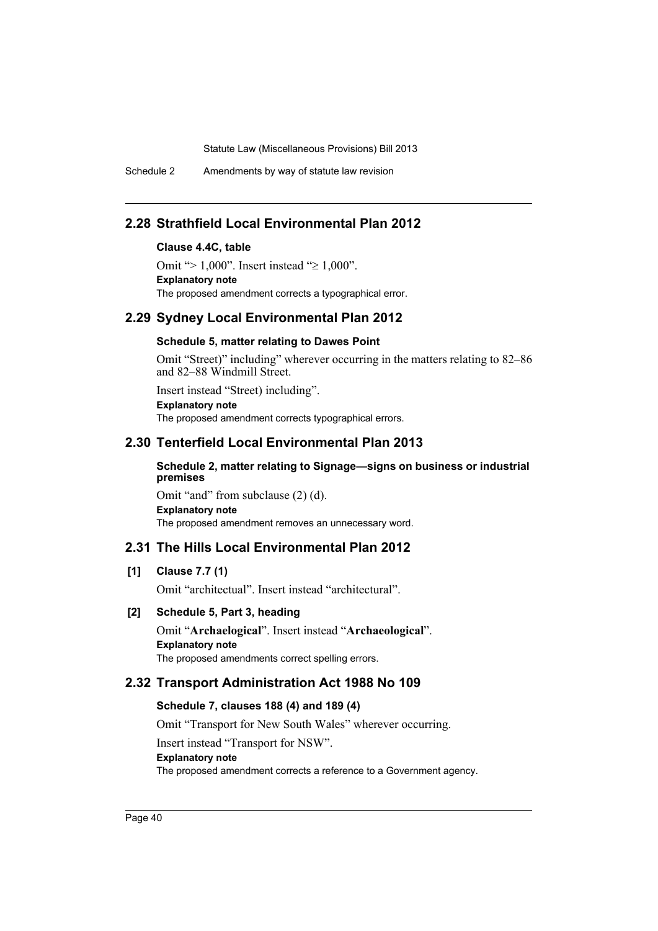Schedule 2 Amendments by way of statute law revision

# **2.28 Strathfield Local Environmental Plan 2012**

### **Clause 4.4C, table**

Omit ">  $1,000$ ". Insert instead " $\ge 1,000$ ". **Explanatory note** The proposed amendment corrects a typographical error.

### **2.29 Sydney Local Environmental Plan 2012**

### **Schedule 5, matter relating to Dawes Point**

Omit "Street)" including" wherever occurring in the matters relating to 82–86 and 82–88 Windmill Street.

Insert instead "Street) including". **Explanatory note** The proposed amendment corrects typographical errors.

# **2.30 Tenterfield Local Environmental Plan 2013**

### **Schedule 2, matter relating to Signage—signs on business or industrial premises**

Omit "and" from subclause (2) (d). **Explanatory note** The proposed amendment removes an unnecessary word.

# **2.31 The Hills Local Environmental Plan 2012**

### **[1] Clause 7.7 (1)**

Omit "architectual". Insert instead "architectural".

### **[2] Schedule 5, Part 3, heading**

Omit "**Archaelogical**". Insert instead "**Archaeological**". **Explanatory note** The proposed amendments correct spelling errors.

# **2.32 Transport Administration Act 1988 No 109**

### **Schedule 7, clauses 188 (4) and 189 (4)**

Omit "Transport for New South Wales" wherever occurring.

Insert instead "Transport for NSW".

### **Explanatory note**

The proposed amendment corrects a reference to a Government agency.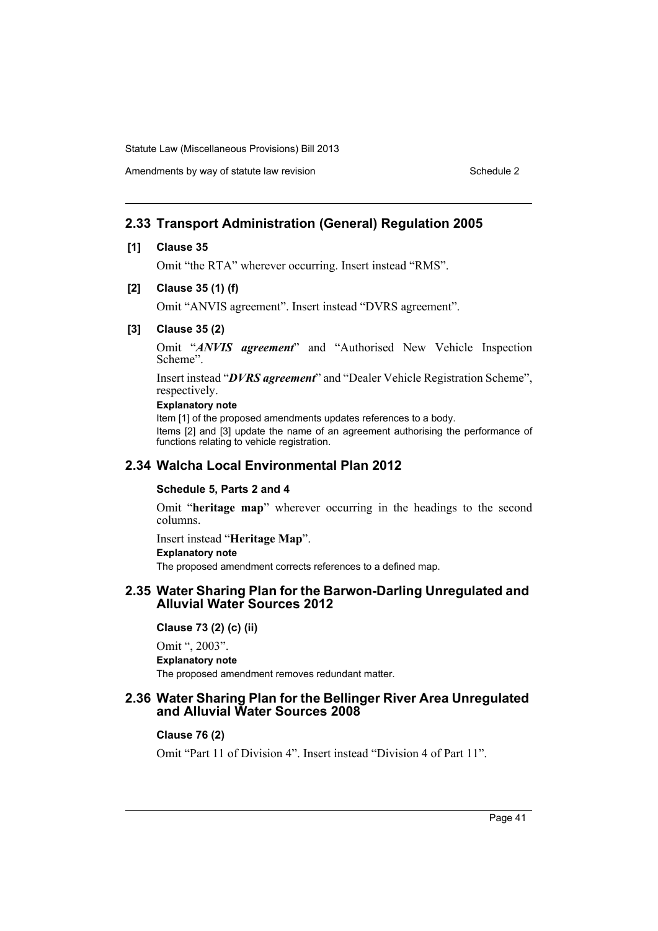Amendments by way of statute law revision Schedule 2 Schedule 2

# **2.33 Transport Administration (General) Regulation 2005**

### **[1] Clause 35**

Omit "the RTA" wherever occurring. Insert instead "RMS".

### **[2] Clause 35 (1) (f)**

Omit "ANVIS agreement". Insert instead "DVRS agreement".

### **[3] Clause 35 (2)**

Omit "*ANVIS agreement*" and "Authorised New Vehicle Inspection Scheme".

Insert instead "*DVRS agreement*" and "Dealer Vehicle Registration Scheme", respectively.

### **Explanatory note**

Item [1] of the proposed amendments updates references to a body. Items [2] and [3] update the name of an agreement authorising the performance of functions relating to vehicle registration.

# **2.34 Walcha Local Environmental Plan 2012**

### **Schedule 5, Parts 2 and 4**

Omit "**heritage map**" wherever occurring in the headings to the second columns.

Insert instead "**Heritage Map**". **Explanatory note** The proposed amendment corrects references to a defined map.

### **2.35 Water Sharing Plan for the Barwon-Darling Unregulated and Alluvial Water Sources 2012**

**Clause 73 (2) (c) (ii)**

Omit ", 2003". **Explanatory note** The proposed amendment removes redundant matter.

### **2.36 Water Sharing Plan for the Bellinger River Area Unregulated and Alluvial Water Sources 2008**

### **Clause 76 (2)**

Omit "Part 11 of Division 4". Insert instead "Division 4 of Part 11".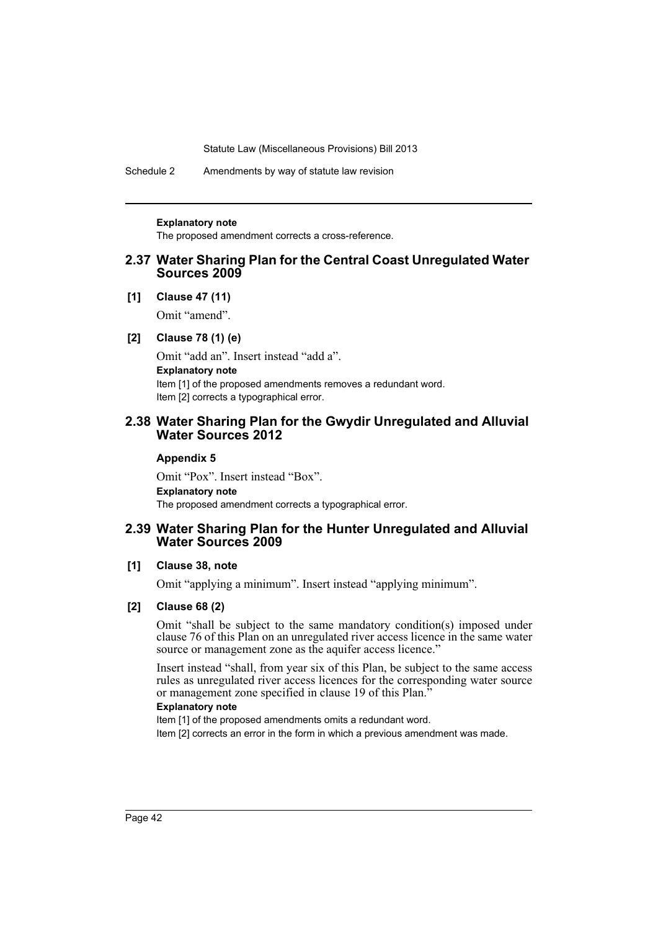Schedule 2 Amendments by way of statute law revision

#### **Explanatory note**

The proposed amendment corrects a cross-reference.

### **2.37 Water Sharing Plan for the Central Coast Unregulated Water Sources 2009**

**[1] Clause 47 (11)**

Omit "amend".

### **[2] Clause 78 (1) (e)**

Omit "add an". Insert instead "add a". **Explanatory note** Item [1] of the proposed amendments removes a redundant word. Item [2] corrects a typographical error.

### **2.38 Water Sharing Plan for the Gwydir Unregulated and Alluvial Water Sources 2012**

#### **Appendix 5**

Omit "Pox". Insert instead "Box". **Explanatory note** The proposed amendment corrects a typographical error.

### **2.39 Water Sharing Plan for the Hunter Unregulated and Alluvial Water Sources 2009**

### **[1] Clause 38, note**

Omit "applying a minimum". Insert instead "applying minimum".

### **[2] Clause 68 (2)**

Omit "shall be subject to the same mandatory condition(s) imposed under clause 76 of this Plan on an unregulated river access licence in the same water source or management zone as the aquifer access licence."

Insert instead "shall, from year six of this Plan, be subject to the same access rules as unregulated river access licences for the corresponding water source or management zone specified in clause 19 of this Plan.<sup>5</sup>

### **Explanatory note**

Item [1] of the proposed amendments omits a redundant word.

Item [2] corrects an error in the form in which a previous amendment was made.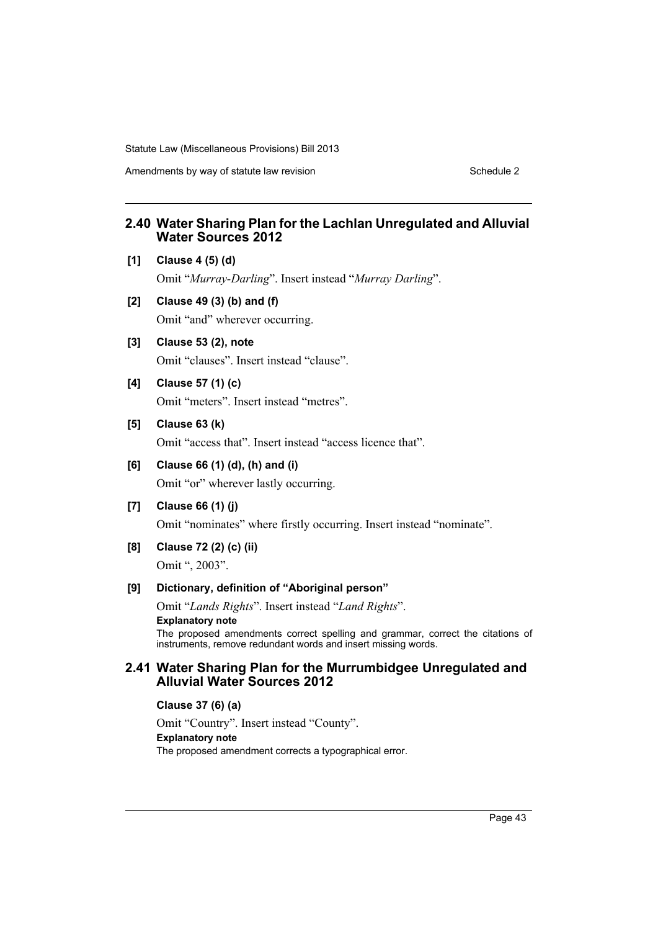Amendments by way of statute law revision Schedule 2 Schedule 2

# **2.40 Water Sharing Plan for the Lachlan Unregulated and Alluvial Water Sources 2012**

**[1] Clause 4 (5) (d)**

Omit "*Murray-Darling*". Insert instead "*Murray Darling*".

- **[2] Clause 49 (3) (b) and (f)** Omit "and" wherever occurring.
- **[3] Clause 53 (2), note**

Omit "clauses". Insert instead "clause".

- **[4] Clause 57 (1) (c)** Omit "meters". Insert instead "metres".
- **[5] Clause 63 (k)**

Omit "access that". Insert instead "access licence that".

**[6] Clause 66 (1) (d), (h) and (i)**

Omit "or" wherever lastly occurring.

**[7] Clause 66 (1) (j)**

Omit "nominates" where firstly occurring. Insert instead "nominate".

**[8] Clause 72 (2) (c) (ii)**

Omit ", 2003".

### **[9] Dictionary, definition of "Aboriginal person"**

Omit "*Lands Rights*". Insert instead "*Land Rights*".

#### **Explanatory note**

The proposed amendments correct spelling and grammar, correct the citations of instruments, remove redundant words and insert missing words.

### **2.41 Water Sharing Plan for the Murrumbidgee Unregulated and Alluvial Water Sources 2012**

**Clause 37 (6) (a)**

Omit "Country". Insert instead "County". **Explanatory note** The proposed amendment corrects a typographical error.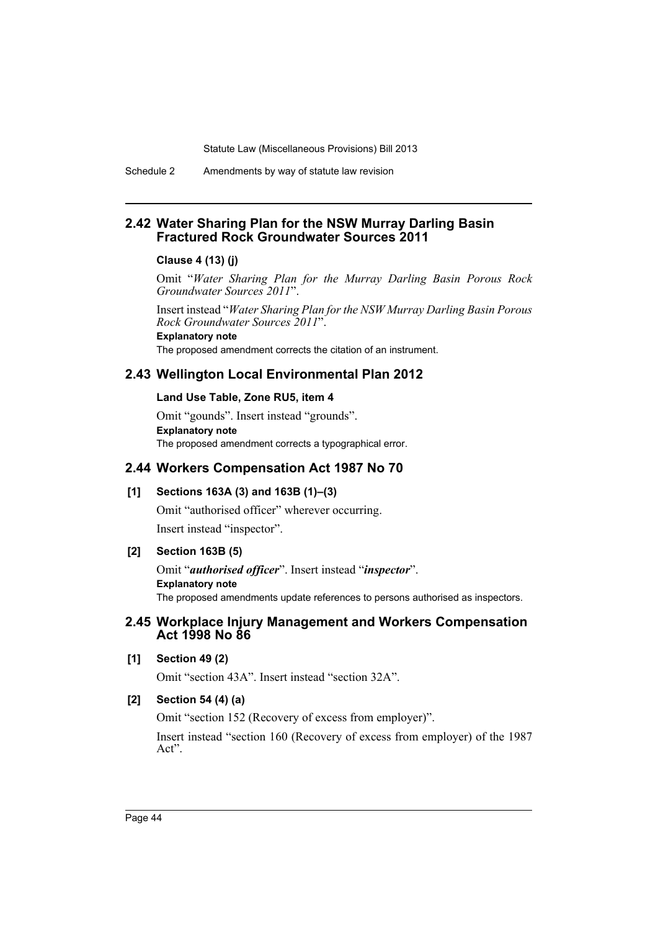Schedule 2 Amendments by way of statute law revision

### **2.42 Water Sharing Plan for the NSW Murray Darling Basin Fractured Rock Groundwater Sources 2011**

### **Clause 4 (13) (j)**

Omit "*Water Sharing Plan for the Murray Darling Basin Porous Rock Groundwater Sources 2011*".

Insert instead "*Water Sharing Plan for the NSW Murray Darling Basin Porous Rock Groundwater Sources 2011*".

**Explanatory note**

The proposed amendment corrects the citation of an instrument.

# **2.43 Wellington Local Environmental Plan 2012**

### **Land Use Table, Zone RU5, item 4**

Omit "gounds". Insert instead "grounds". **Explanatory note** The proposed amendment corrects a typographical error.

# **2.44 Workers Compensation Act 1987 No 70**

# **[1] Sections 163A (3) and 163B (1)–(3)**

Omit "authorised officer" wherever occurring. Insert instead "inspector".

### **[2] Section 163B (5)**

Omit "*authorised officer*". Insert instead "*inspector*". **Explanatory note** The proposed amendments update references to persons authorised as inspectors.

### **2.45 Workplace Injury Management and Workers Compensation Act 1998 No 86**

### **[1] Section 49 (2)**

Omit "section 43A". Insert instead "section 32A".

# **[2] Section 54 (4) (a)**

Omit "section 152 (Recovery of excess from employer)".

Insert instead "section 160 (Recovery of excess from employer) of the 1987 Act".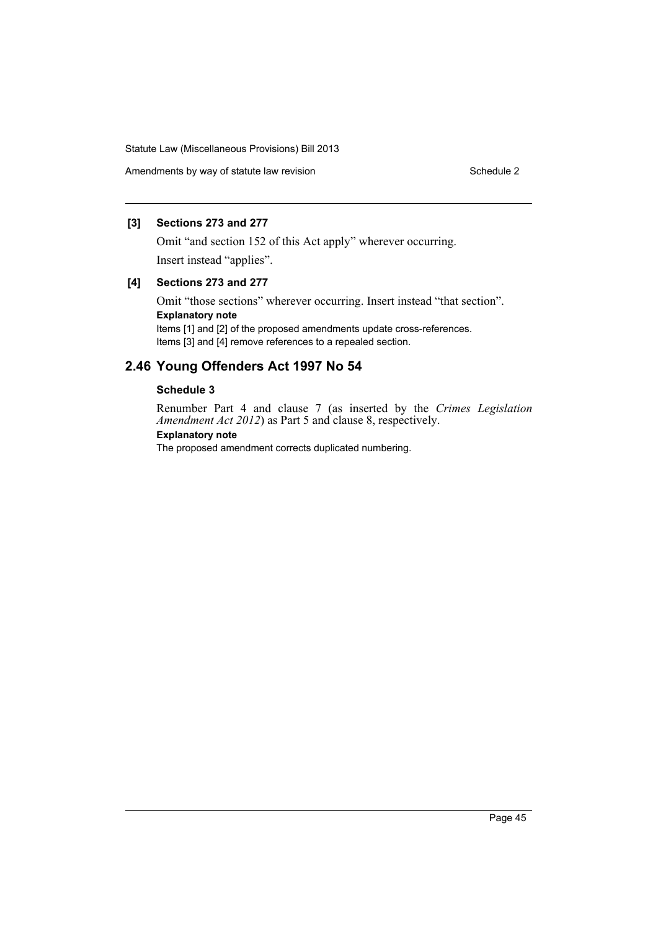Amendments by way of statute law revision example 2 Schedule 2

### **[3] Sections 273 and 277**

Omit "and section 152 of this Act apply" wherever occurring. Insert instead "applies".

### **[4] Sections 273 and 277**

Omit "those sections" wherever occurring. Insert instead "that section". **Explanatory note** Items [1] and [2] of the proposed amendments update cross-references.

Items [3] and [4] remove references to a repealed section.

# **2.46 Young Offenders Act 1997 No 54**

### **Schedule 3**

Renumber Part 4 and clause 7 (as inserted by the *Crimes Legislation Amendment Act 2012*) as Part 5 and clause 8, respectively.

### **Explanatory note**

The proposed amendment corrects duplicated numbering.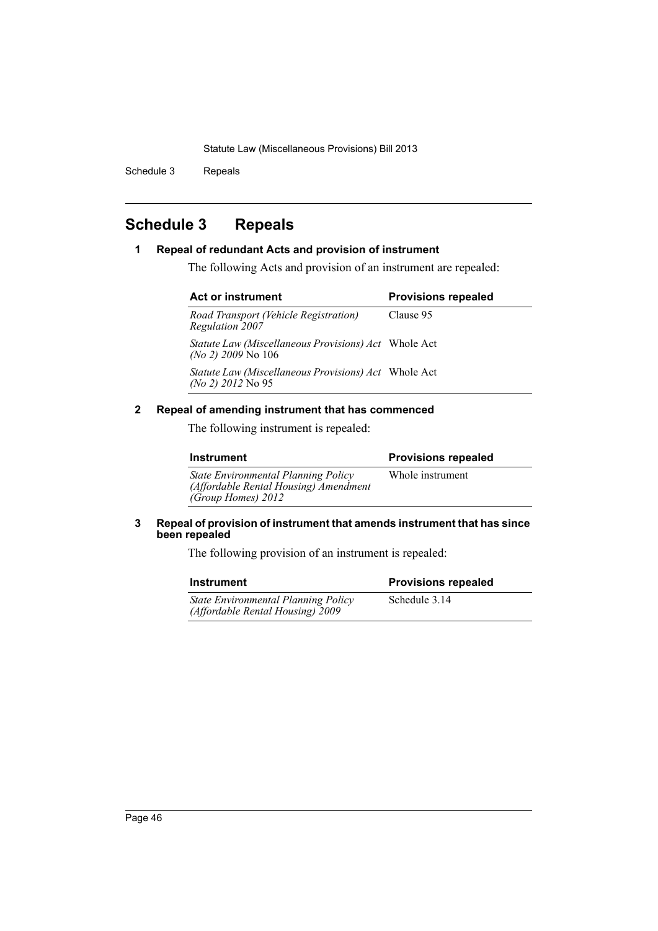Schedule 3 Repeals

# <span id="page-47-0"></span>**Schedule 3 Repeals**

### **1 Repeal of redundant Acts and provision of instrument**

The following Acts and provision of an instrument are repealed:

| <b>Act or instrument</b>                                                           | <b>Provisions repealed</b> |  |
|------------------------------------------------------------------------------------|----------------------------|--|
| Road Transport (Vehicle Registration)<br><b>Regulation 2007</b>                    | Clause 95                  |  |
| <i>Statute Law (Miscellaneous Provisions) Act</i> Whole Act<br>(No 2) 2009 No 106  |                            |  |
| <i>Statute Law (Miscellaneous Provisions) Act</i> Whole Act<br>(No 2) $2012$ No 95 |                            |  |

### **2 Repeal of amending instrument that has commenced**

The following instrument is repealed:

| <b>Instrument</b>                                                                                         | <b>Provisions repealed</b> |
|-----------------------------------------------------------------------------------------------------------|----------------------------|
| <b>State Environmental Planning Policy</b><br>(Affordable Rental Housing) Amendment<br>(Group Homes) 2012 | Whole instrument           |

### **3 Repeal of provision of instrument that amends instrument that has since been repealed**

The following provision of an instrument is repealed:

| <b>Instrument</b>                                                              | <b>Provisions repealed</b> |
|--------------------------------------------------------------------------------|----------------------------|
| <b>State Environmental Planning Policy</b><br>(Affordable Rental Housing) 2009 | Schedule 3.14              |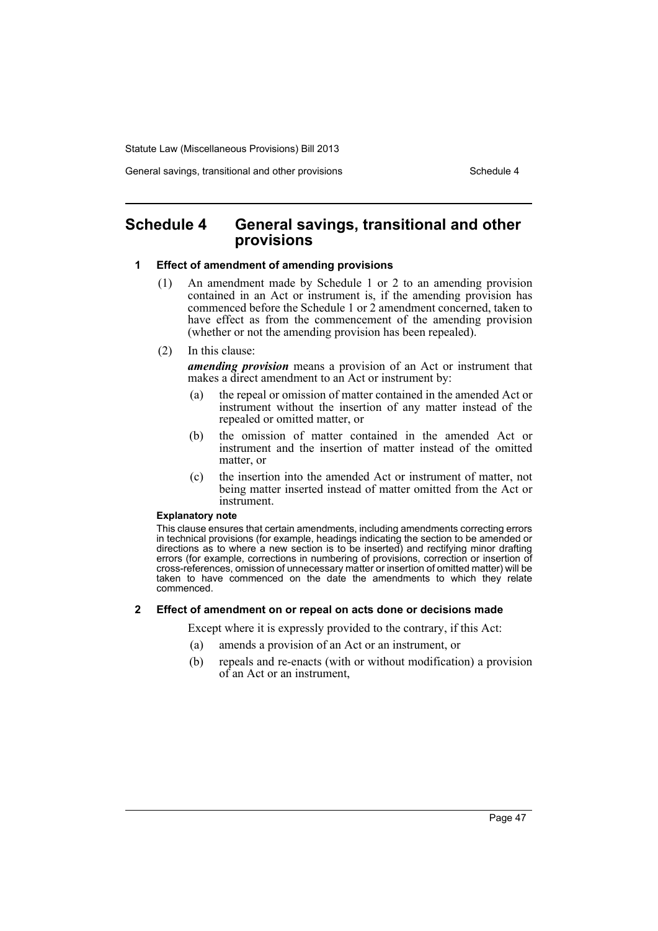General savings, transitional and other provisions Schedule 4

# <span id="page-48-0"></span>**Schedule 4 General savings, transitional and other provisions**

### **1 Effect of amendment of amending provisions**

- (1) An amendment made by Schedule 1 or 2 to an amending provision contained in an Act or instrument is, if the amending provision has commenced before the Schedule 1 or 2 amendment concerned, taken to have effect as from the commencement of the amending provision (whether or not the amending provision has been repealed).
- (2) In this clause:

*amending provision* means a provision of an Act or instrument that makes a direct amendment to an Act or instrument by:

- (a) the repeal or omission of matter contained in the amended Act or instrument without the insertion of any matter instead of the repealed or omitted matter, or
- (b) the omission of matter contained in the amended Act or instrument and the insertion of matter instead of the omitted matter, or
- (c) the insertion into the amended Act or instrument of matter, not being matter inserted instead of matter omitted from the Act or instrument.

#### **Explanatory note**

This clause ensures that certain amendments, including amendments correcting errors in technical provisions (for example, headings indicating the section to be amended or directions as to where a new section is to be inserted) and rectifying minor drafting errors (for example, corrections in numbering of provisions, correction or insertion of cross-references, omission of unnecessary matter or insertion of omitted matter) will be taken to have commenced on the date the amendments to which they relate commenced.

#### **2 Effect of amendment on or repeal on acts done or decisions made**

Except where it is expressly provided to the contrary, if this Act:

- (a) amends a provision of an Act or an instrument, or
- (b) repeals and re-enacts (with or without modification) a provision of an Act or an instrument,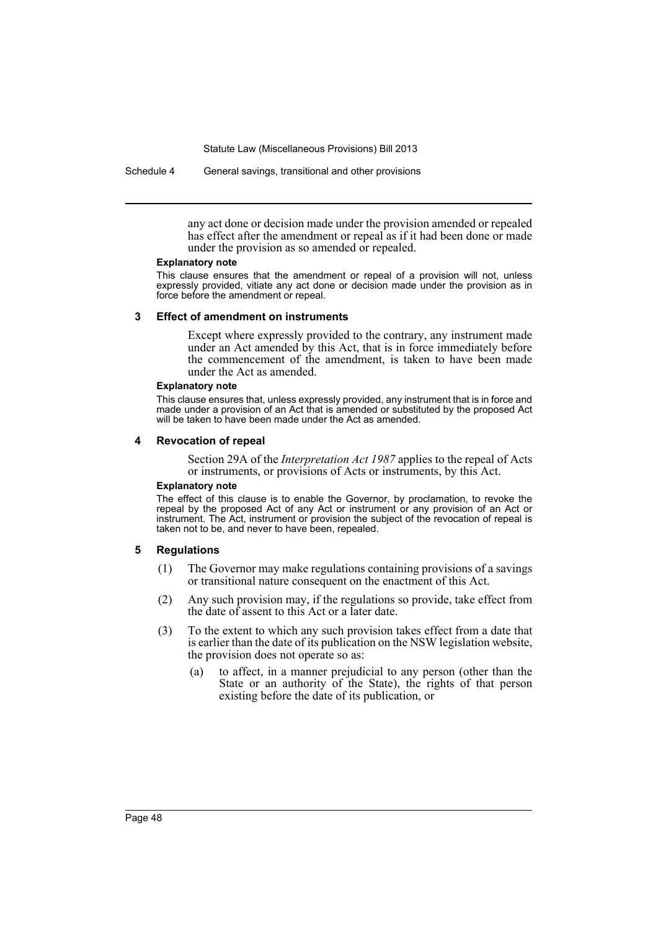Schedule 4 General savings, transitional and other provisions

any act done or decision made under the provision amended or repealed has effect after the amendment or repeal as if it had been done or made under the provision as so amended or repealed.

#### **Explanatory note**

This clause ensures that the amendment or repeal of a provision will not, unless expressly provided, vitiate any act done or decision made under the provision as in force before the amendment or repeal.

#### **3 Effect of amendment on instruments**

Except where expressly provided to the contrary, any instrument made under an Act amended by this Act, that is in force immediately before the commencement of the amendment, is taken to have been made under the Act as amended.

#### **Explanatory note**

This clause ensures that, unless expressly provided, any instrument that is in force and made under a provision of an Act that is amended or substituted by the proposed Act will be taken to have been made under the Act as amended.

#### **4 Revocation of repeal**

Section 29A of the *Interpretation Act 1987* applies to the repeal of Acts or instruments, or provisions of Acts or instruments, by this Act.

#### **Explanatory note**

The effect of this clause is to enable the Governor, by proclamation, to revoke the repeal by the proposed Act of any Act or instrument or any provision of an Act or instrument. The Act, instrument or provision the subject of the revocation of repeal is taken not to be, and never to have been, repealed.

#### **5 Regulations**

- (1) The Governor may make regulations containing provisions of a savings or transitional nature consequent on the enactment of this Act.
- (2) Any such provision may, if the regulations so provide, take effect from the date of assent to this Act or a later date.
- (3) To the extent to which any such provision takes effect from a date that is earlier than the date of its publication on the NSW legislation website, the provision does not operate so as:
	- (a) to affect, in a manner prejudicial to any person (other than the State or an authority of the State), the rights of that person existing before the date of its publication, or